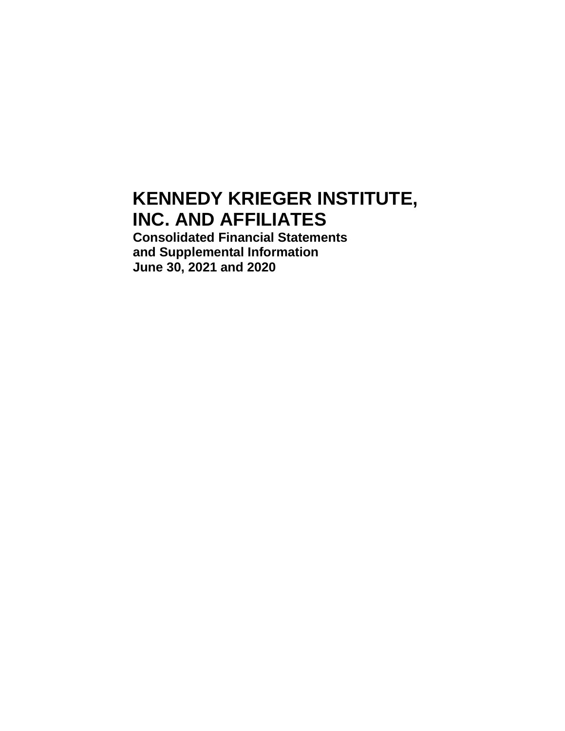# **KENNEDY KRIEGER INSTITUTE, INC. AND AFFILIATES**

**Consolidated Financial Statements and Supplemental Information June 30, 2021 and 2020**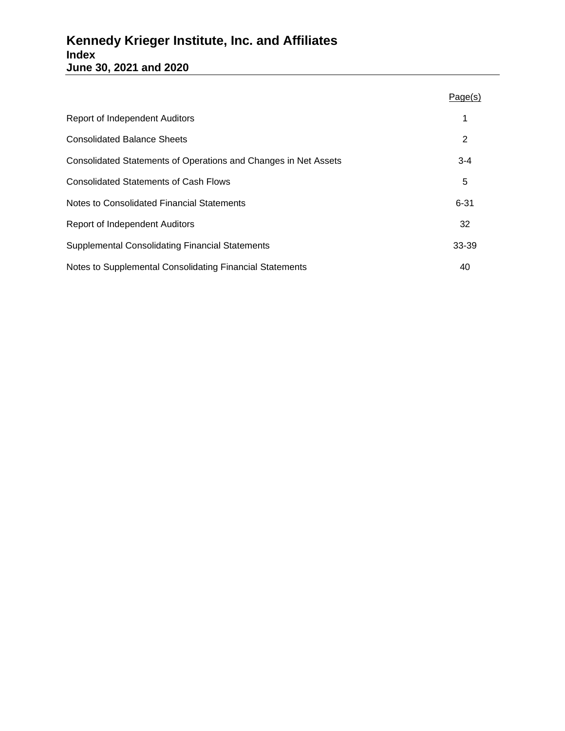|                                                                 | Page(s)  |
|-----------------------------------------------------------------|----------|
| <b>Report of Independent Auditors</b>                           | 1        |
| <b>Consolidated Balance Sheets</b>                              | 2        |
| Consolidated Statements of Operations and Changes in Net Assets | $3 - 4$  |
| <b>Consolidated Statements of Cash Flows</b>                    | 5        |
| Notes to Consolidated Financial Statements                      | $6 - 31$ |
| <b>Report of Independent Auditors</b>                           | 32       |
| <b>Supplemental Consolidating Financial Statements</b>          | 33-39    |
| Notes to Supplemental Consolidating Financial Statements        | 40       |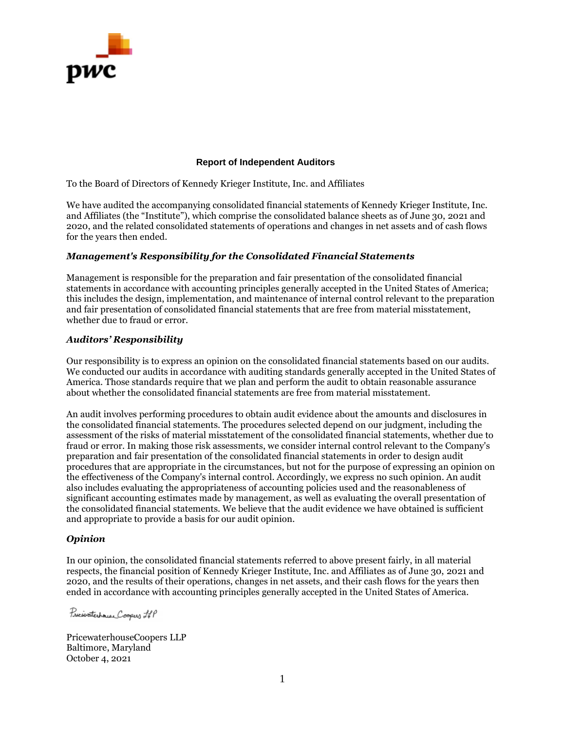

# **Report of Independent Auditors**

To the Board of Directors of Kennedy Krieger Institute, Inc. and Affiliates

We have audited the accompanying consolidated financial statements of Kennedy Krieger Institute, Inc. and Affiliates (the "Institute"), which comprise the consolidated balance sheets as of June 30, 2021 and 2020, and the related consolidated statements of operations and changes in net assets and of cash flows for the years then ended.

### *Management's Responsibility for the Consolidated Financial Statements*

Management is responsible for the preparation and fair presentation of the consolidated financial statements in accordance with accounting principles generally accepted in the United States of America; this includes the design, implementation, and maintenance of internal control relevant to the preparation and fair presentation of consolidated financial statements that are free from material misstatement, whether due to fraud or error.

### *Auditors' Responsibility*

Our responsibility is to express an opinion on the consolidated financial statements based on our audits. We conducted our audits in accordance with auditing standards generally accepted in the United States of America. Those standards require that we plan and perform the audit to obtain reasonable assurance about whether the consolidated financial statements are free from material misstatement.

An audit involves performing procedures to obtain audit evidence about the amounts and disclosures in the consolidated financial statements. The procedures selected depend on our judgment, including the assessment of the risks of material misstatement of the consolidated financial statements, whether due to fraud or error. In making those risk assessments, we consider internal control relevant to the Company's preparation and fair presentation of the consolidated financial statements in order to design audit procedures that are appropriate in the circumstances, but not for the purpose of expressing an opinion on the effectiveness of the Company's internal control. Accordingly, we express no such opinion. An audit also includes evaluating the appropriateness of accounting policies used and the reasonableness of significant accounting estimates made by management, as well as evaluating the overall presentation of the consolidated financial statements. We believe that the audit evidence we have obtained is sufficient and appropriate to provide a basis for our audit opinion.

### *Opinion*

In our opinion, the consolidated financial statements referred to above present fairly, in all material respects, the financial position of Kennedy Krieger Institute, Inc. and Affiliates as of June 30, 2021 and 2020, and the results of their operations, changes in net assets, and their cash flows for the years then ended in accordance with accounting principles generally accepted in the United States of America.

Pricevaterhouse Coopers LLP

PricewaterhouseCoopers LLP Baltimore, Maryland October 4, 2021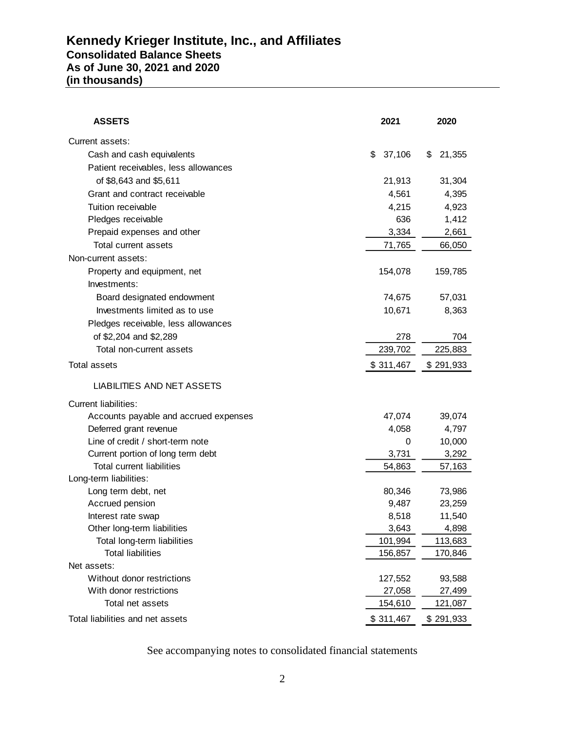# **Kennedy Krieger Institute, Inc., and Affiliates Consolidated Balance Sheets As of June 30, 2021 and 2020 (in thousands)**

| <b>ASSETS</b>                         | 2021         | 2020         |
|---------------------------------------|--------------|--------------|
| Current assets:                       |              |              |
| Cash and cash equivalents             | \$<br>37,106 | \$<br>21,355 |
| Patient receivables, less allowances  |              |              |
| of \$8,643 and \$5,611                | 21,913       | 31,304       |
| Grant and contract receivable         | 4,561        | 4,395        |
| Tuition receivable                    | 4,215        | 4,923        |
| Pledges receivable                    | 636          | 1,412        |
| Prepaid expenses and other            | 3,334        | 2,661        |
| Total current assets                  | 71,765       | 66,050       |
| Non-current assets:                   |              |              |
| Property and equipment, net           | 154,078      | 159,785      |
| Investments:                          |              |              |
| Board designated endowment            | 74,675       | 57,031       |
| Investments limited as to use         | 10,671       | 8,363        |
| Pledges receivable, less allowances   |              |              |
| of \$2,204 and \$2,289                | 278          | 704          |
| Total non-current assets              | 239,702      | 225,883      |
| Total assets                          | \$311,467    | \$291,933    |
| <b>LIABILITIES AND NET ASSETS</b>     |              |              |
| <b>Current liabilities:</b>           |              |              |
| Accounts payable and accrued expenses | 47,074       | 39,074       |
| Deferred grant revenue                | 4,058        | 4,797        |
| Line of credit / short-term note      | 0            | 10,000       |
| Current portion of long term debt     | 3,731        | 3,292        |
| <b>Total current liabilities</b>      | 54,863       | 57,163       |
| Long-term liabilities:                |              |              |
| Long term debt, net                   | 80,346       | 73,986       |
| Accrued pension                       | 9,487        | 23,259       |
| Interest rate swap                    | 8,518        | 11,540       |
| Other long-term liabilities           | 3,643        | 4,898        |
| Total long-term liabilities           | 101,994      | 113,683      |
| <b>Total liabilities</b>              | 156,857      | 170,846      |
| Net assets:                           |              |              |
| Without donor restrictions            | 127,552      | 93,588       |
| With donor restrictions               | 27,058       | 27,499       |
| Total net assets                      | 154,610      | 121,087      |
| Total liabilities and net assets      | \$311,467    | \$291,933    |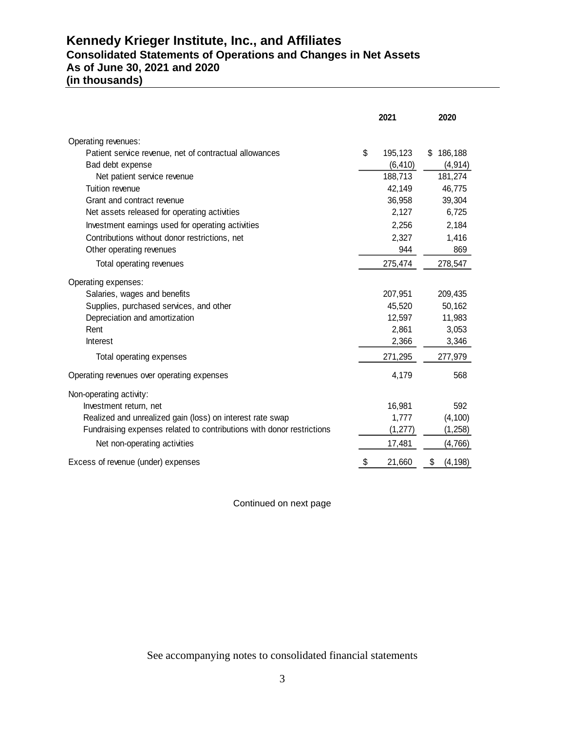# **Kennedy Krieger Institute, Inc., and Affiliates Consolidated Statements of Operations and Changes in Net Assets As of June 30, 2021 and 2020 (in thousands)**

|                                                                       | 2021          | 2020           |
|-----------------------------------------------------------------------|---------------|----------------|
| Operating revenues:                                                   |               |                |
| Patient service revenue, net of contractual allowances                | \$<br>195,123 | 186,188<br>\$  |
| Bad debt expense                                                      | (6, 410)      | (4, 914)       |
| Net patient service revenue                                           | 188,713       | 181,274        |
| Tuition revenue                                                       | 42,149        | 46,775         |
| Grant and contract revenue                                            | 36,958        | 39,304         |
| Net assets released for operating activities                          | 2,127         | 6,725          |
| Investment earnings used for operating activities                     | 2,256         | 2,184          |
| Contributions without donor restrictions, net                         | 2,327         | 1,416          |
| Other operating revenues                                              | 944           | 869            |
| Total operating revenues                                              | 275,474       | 278,547        |
| Operating expenses:                                                   |               |                |
| Salaries, wages and benefits                                          | 207,951       | 209,435        |
| Supplies, purchased services, and other                               | 45,520        | 50,162         |
| Depreciation and amortization                                         | 12,597        | 11,983         |
| Rent                                                                  | 2,861         | 3,053          |
| Interest                                                              | 2,366         | 3,346          |
| Total operating expenses                                              | 271,295       | 277,979        |
| Operating revenues over operating expenses                            | 4,179         | 568            |
| Non-operating activity:                                               |               |                |
| Investment return, net                                                | 16,981        | 592            |
| Realized and unrealized gain (loss) on interest rate swap             | 1,777         | (4, 100)       |
| Fundraising expenses related to contributions with donor restrictions | (1, 277)      | (1, 258)       |
| Net non-operating activities                                          | 17,481        | (4,766)        |
| Excess of revenue (under) expenses                                    | \$<br>21,660  | \$<br>(4, 198) |

Continued on next page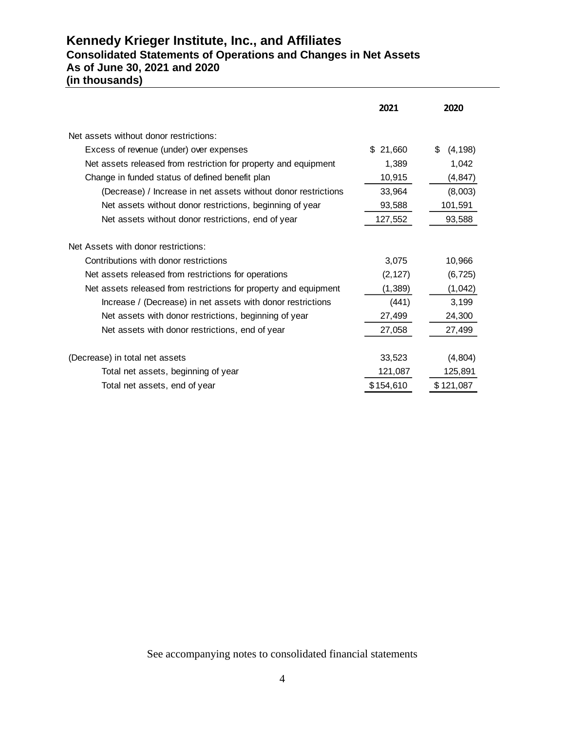# **Kennedy Krieger Institute, Inc., and Affiliates Consolidated Statements of Operations and Changes in Net Assets As of June 30, 2021 and 2020 (in thousands)**

|                                                                  | 2021      | 2020          |
|------------------------------------------------------------------|-----------|---------------|
| Net assets without donor restrictions:                           |           |               |
| Excess of revenue (under) over expenses                          | \$21,660  | S<br>(4, 198) |
| Net assets released from restriction for property and equipment  | 1,389     | 1,042         |
| Change in funded status of defined benefit plan                  | 10,915    | (4, 847)      |
| (Decrease) / Increase in net assets without donor restrictions   | 33,964    | (8,003)       |
| Net assets without donor restrictions, beginning of year         | 93,588    | 101,591       |
| Net assets without donor restrictions, end of year               | 127,552   | 93,588        |
| Net Assets with donor restrictions:                              |           |               |
| Contributions with donor restrictions                            | 3,075     | 10,966        |
| Net assets released from restrictions for operations             | (2, 127)  | (6, 725)      |
| Net assets released from restrictions for property and equipment | (1, 389)  | (1,042)       |
| Increase / (Decrease) in net assets with donor restrictions      | (441)     | 3,199         |
| Net assets with donor restrictions, beginning of year            | 27,499    | 24,300        |
| Net assets with donor restrictions, end of year                  | 27,058    | 27,499        |
|                                                                  |           |               |
| (Decrease) in total net assets                                   | 33,523    | (4,804)       |
| Total net assets, beginning of year                              | 121,087   | 125,891       |
| Total net assets, end of year                                    | \$154,610 | \$121,087     |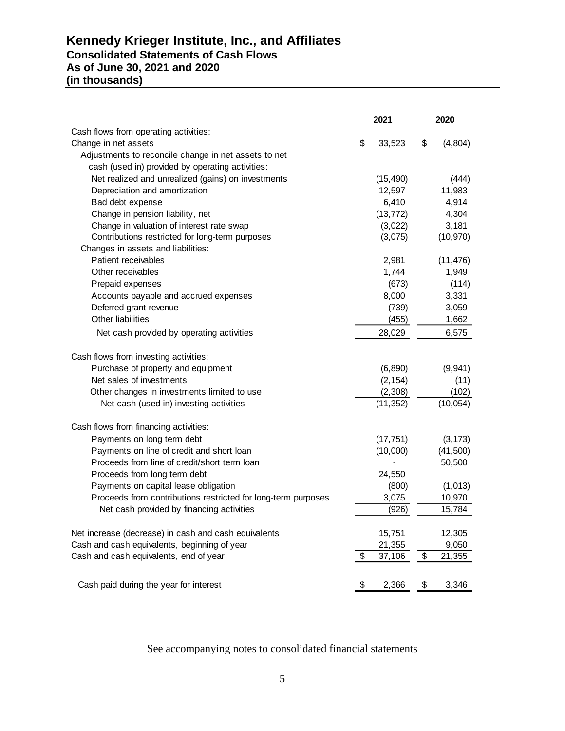# **Kennedy Krieger Institute, Inc., and Affiliates Consolidated Statements of Cash Flows As of June 30, 2021 and 2020 (in thousands)**

|                                                               |               | 2021      | 2020          |
|---------------------------------------------------------------|---------------|-----------|---------------|
| Cash flows from operating activities:                         |               |           |               |
| Change in net assets                                          | \$            | 33,523    | \$<br>(4,804) |
| Adjustments to reconcile change in net assets to net          |               |           |               |
| cash (used in) provided by operating activities:              |               |           |               |
| Net realized and unrealized (gains) on investments            |               | (15, 490) | (444)         |
| Depreciation and amortization                                 |               | 12,597    | 11,983        |
| Bad debt expense                                              |               | 6,410     | 4,914         |
| Change in pension liability, net                              |               | (13, 772) | 4,304         |
| Change in valuation of interest rate swap                     |               | (3,022)   | 3,181         |
| Contributions restricted for long-term purposes               |               | (3,075)   | (10, 970)     |
| Changes in assets and liabilities:                            |               |           |               |
| Patient receivables                                           |               | 2,981     | (11, 476)     |
| Other receivables                                             |               | 1,744     | 1,949         |
| Prepaid expenses                                              |               | (673)     | (114)         |
| Accounts payable and accrued expenses                         |               | 8,000     | 3,331         |
| Deferred grant revenue                                        |               | (739)     | 3,059         |
| Other liabilities                                             |               | (455)     | 1,662         |
| Net cash provided by operating activities                     |               | 28,029    | 6,575         |
| Cash flows from investing activities:                         |               |           |               |
| Purchase of property and equipment                            |               | (6, 890)  | (9, 941)      |
| Net sales of investments                                      |               | (2, 154)  | (11)          |
| Other changes in investments limited to use                   |               | (2,308)   | (102)         |
| Net cash (used in) investing activities                       |               | (11, 352) | (10, 054)     |
| Cash flows from financing activities:                         |               |           |               |
| Payments on long term debt                                    |               | (17, 751) | (3, 173)      |
| Payments on line of credit and short loan                     |               | (10,000)  | (41,500)      |
| Proceeds from line of credit/short term loan                  |               |           | 50,500        |
| Proceeds from long term debt                                  |               | 24,550    |               |
| Payments on capital lease obligation                          |               | (800)     | (1,013)       |
| Proceeds from contributions restricted for long-term purposes |               | 3,075     | 10,970        |
| Net cash provided by financing activities                     |               | (926)     | 15,784        |
| Net increase (decrease) in cash and cash equivalents          |               | 15,751    | 12,305        |
| Cash and cash equivalents, beginning of year                  |               | 21,355    | 9,050         |
| Cash and cash equivalents, end of year                        | $\frac{1}{2}$ | 37,106    | \$<br>21,355  |
| Cash paid during the year for interest                        | \$            | 2,366     | \$<br>3,346   |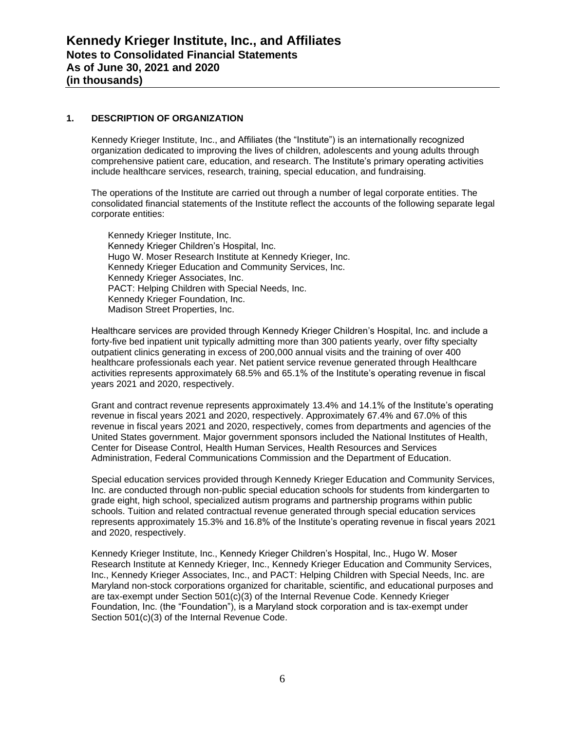### **1. DESCRIPTION OF ORGANIZATION**

Kennedy Krieger Institute, Inc., and Affiliates (the "Institute") is an internationally recognized organization dedicated to improving the lives of children, adolescents and young adults through comprehensive patient care, education, and research. The Institute's primary operating activities include healthcare services, research, training, special education, and fundraising.

The operations of the Institute are carried out through a number of legal corporate entities. The consolidated financial statements of the Institute reflect the accounts of the following separate legal corporate entities:

Kennedy Krieger Institute, Inc. Kennedy Krieger Children's Hospital, Inc. Hugo W. Moser Research Institute at Kennedy Krieger, Inc. Kennedy Krieger Education and Community Services, Inc. Kennedy Krieger Associates, Inc. PACT: Helping Children with Special Needs, Inc. Kennedy Krieger Foundation, Inc. Madison Street Properties, Inc.

Healthcare services are provided through Kennedy Krieger Children's Hospital, Inc. and include a forty-five bed inpatient unit typically admitting more than 300 patients yearly, over fifty specialty outpatient clinics generating in excess of 200,000 annual visits and the training of over 400 healthcare professionals each year. Net patient service revenue generated through Healthcare activities represents approximately 68.5% and 65.1% of the Institute's operating revenue in fiscal years 2021 and 2020, respectively.

Grant and contract revenue represents approximately 13.4% and 14.1% of the Institute's operating revenue in fiscal years 2021 and 2020, respectively. Approximately 67.4% and 67.0% of this revenue in fiscal years 2021 and 2020, respectively, comes from departments and agencies of the United States government. Major government sponsors included the National Institutes of Health, Center for Disease Control, Health Human Services, Health Resources and Services Administration, Federal Communications Commission and the Department of Education.

Special education services provided through Kennedy Krieger Education and Community Services, Inc. are conducted through non-public special education schools for students from kindergarten to grade eight, high school, specialized autism programs and partnership programs within public schools. Tuition and related contractual revenue generated through special education services represents approximately 15.3% and 16.8% of the Institute's operating revenue in fiscal years 2021 and 2020, respectively.

Kennedy Krieger Institute, Inc., Kennedy Krieger Children's Hospital, Inc., Hugo W. Moser Research Institute at Kennedy Krieger, Inc., Kennedy Krieger Education and Community Services, Inc., Kennedy Krieger Associates, Inc., and PACT: Helping Children with Special Needs, Inc. are Maryland non-stock corporations organized for charitable, scientific, and educational purposes and are tax-exempt under Section 501(c)(3) of the Internal Revenue Code. Kennedy Krieger Foundation, Inc. (the "Foundation"), is a Maryland stock corporation and is tax-exempt under Section 501(c)(3) of the Internal Revenue Code.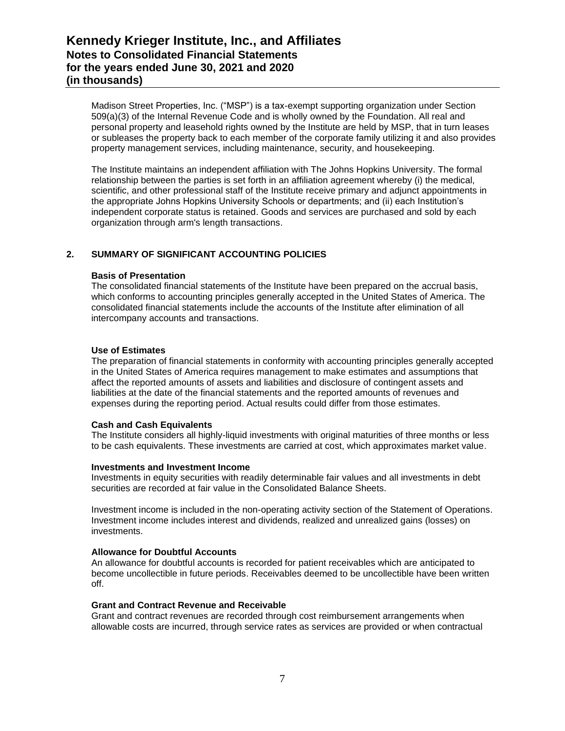Madison Street Properties, Inc. ("MSP") is a tax-exempt supporting organization under Section 509(a)(3) of the Internal Revenue Code and is wholly owned by the Foundation. All real and personal property and leasehold rights owned by the Institute are held by MSP, that in turn leases or subleases the property back to each member of the corporate family utilizing it and also provides property management services, including maintenance, security, and housekeeping.

The Institute maintains an independent affiliation with The Johns Hopkins University. The formal relationship between the parties is set forth in an affiliation agreement whereby (i) the medical, scientific, and other professional staff of the Institute receive primary and adjunct appointments in the appropriate Johns Hopkins University Schools or departments; and (ii) each Institution's independent corporate status is retained. Goods and services are purchased and sold by each organization through arm's length transactions.

### **2. SUMMARY OF SIGNIFICANT ACCOUNTING POLICIES**

### **Basis of Presentation**

The consolidated financial statements of the Institute have been prepared on the accrual basis, which conforms to accounting principles generally accepted in the United States of America. The consolidated financial statements include the accounts of the Institute after elimination of all intercompany accounts and transactions.

### **Use of Estimates**

The preparation of financial statements in conformity with accounting principles generally accepted in the United States of America requires management to make estimates and assumptions that affect the reported amounts of assets and liabilities and disclosure of contingent assets and liabilities at the date of the financial statements and the reported amounts of revenues and expenses during the reporting period. Actual results could differ from those estimates.

### **Cash and Cash Equivalents**

The Institute considers all highly-liquid investments with original maturities of three months or less to be cash equivalents. These investments are carried at cost, which approximates market value.

#### **Investments and Investment Income**

Investments in equity securities with readily determinable fair values and all investments in debt securities are recorded at fair value in the Consolidated Balance Sheets.

Investment income is included in the non-operating activity section of the Statement of Operations. Investment income includes interest and dividends, realized and unrealized gains (losses) on investments.

### **Allowance for Doubtful Accounts**

An allowance for doubtful accounts is recorded for patient receivables which are anticipated to become uncollectible in future periods. Receivables deemed to be uncollectible have been written off.

#### **Grant and Contract Revenue and Receivable**

Grant and contract revenues are recorded through cost reimbursement arrangements when allowable costs are incurred, through service rates as services are provided or when contractual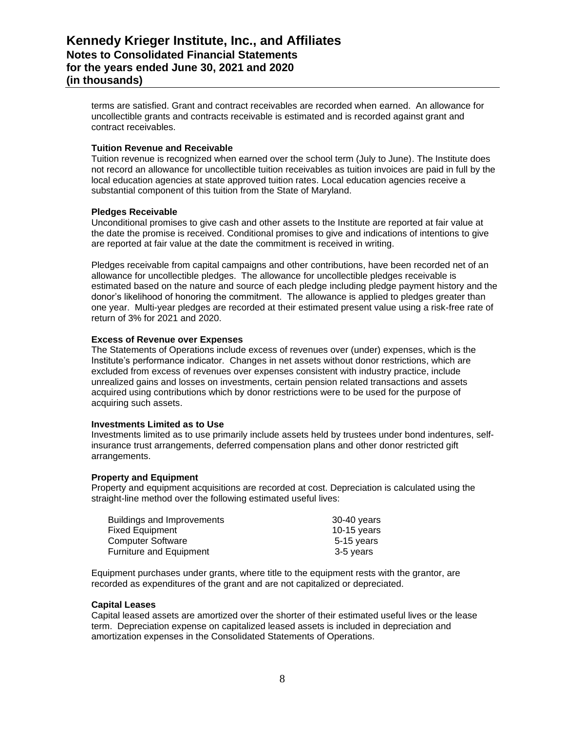terms are satisfied. Grant and contract receivables are recorded when earned. An allowance for uncollectible grants and contracts receivable is estimated and is recorded against grant and contract receivables.

### **Tuition Revenue and Receivable**

Tuition revenue is recognized when earned over the school term (July to June). The Institute does not record an allowance for uncollectible tuition receivables as tuition invoices are paid in full by the local education agencies at state approved tuition rates. Local education agencies receive a substantial component of this tuition from the State of Maryland.

### **Pledges Receivable**

Unconditional promises to give cash and other assets to the Institute are reported at fair value at the date the promise is received. Conditional promises to give and indications of intentions to give are reported at fair value at the date the commitment is received in writing.

Pledges receivable from capital campaigns and other contributions, have been recorded net of an allowance for uncollectible pledges. The allowance for uncollectible pledges receivable is estimated based on the nature and source of each pledge including pledge payment history and the donor's likelihood of honoring the commitment. The allowance is applied to pledges greater than one year. Multi-year pledges are recorded at their estimated present value using a risk-free rate of return of 3% for 2021 and 2020.

### **Excess of Revenue over Expenses**

The Statements of Operations include excess of revenues over (under) expenses, which is the Institute's performance indicator. Changes in net assets without donor restrictions, which are excluded from excess of revenues over expenses consistent with industry practice, include unrealized gains and losses on investments, certain pension related transactions and assets acquired using contributions which by donor restrictions were to be used for the purpose of acquiring such assets.

#### **Investments Limited as to Use**

Investments limited as to use primarily include assets held by trustees under bond indentures, selfinsurance trust arrangements, deferred compensation plans and other donor restricted gift arrangements.

### **Property and Equipment**

Property and equipment acquisitions are recorded at cost. Depreciation is calculated using the straight-line method over the following estimated useful lives:

| Buildings and Improvements     | 30-40 years |
|--------------------------------|-------------|
| Fixed Equipment                | 10-15 years |
| <b>Computer Software</b>       | 5-15 years  |
| <b>Furniture and Equipment</b> | 3-5 years   |

Equipment purchases under grants, where title to the equipment rests with the grantor, are recorded as expenditures of the grant and are not capitalized or depreciated.

### **Capital Leases**

Capital leased assets are amortized over the shorter of their estimated useful lives or the lease term. Depreciation expense on capitalized leased assets is included in depreciation and amortization expenses in the Consolidated Statements of Operations.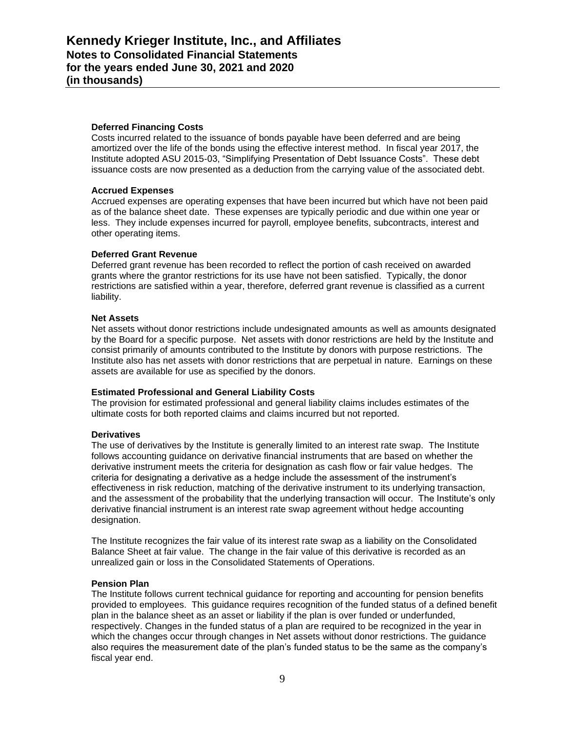### **Deferred Financing Costs**

Costs incurred related to the issuance of bonds payable have been deferred and are being amortized over the life of the bonds using the effective interest method. In fiscal year 2017, the Institute adopted ASU 2015-03, "Simplifying Presentation of Debt Issuance Costs". These debt issuance costs are now presented as a deduction from the carrying value of the associated debt.

### **Accrued Expenses**

Accrued expenses are operating expenses that have been incurred but which have not been paid as of the balance sheet date. These expenses are typically periodic and due within one year or less. They include expenses incurred for payroll, employee benefits, subcontracts, interest and other operating items.

### **Deferred Grant Revenue**

Deferred grant revenue has been recorded to reflect the portion of cash received on awarded grants where the grantor restrictions for its use have not been satisfied. Typically, the donor restrictions are satisfied within a year, therefore, deferred grant revenue is classified as a current liability.

#### **Net Assets**

Net assets without donor restrictions include undesignated amounts as well as amounts designated by the Board for a specific purpose. Net assets with donor restrictions are held by the Institute and consist primarily of amounts contributed to the Institute by donors with purpose restrictions. The Institute also has net assets with donor restrictions that are perpetual in nature. Earnings on these assets are available for use as specified by the donors.

#### **Estimated Professional and General Liability Costs**

The provision for estimated professional and general liability claims includes estimates of the ultimate costs for both reported claims and claims incurred but not reported.

#### **Derivatives**

The use of derivatives by the Institute is generally limited to an interest rate swap. The Institute follows accounting guidance on derivative financial instruments that are based on whether the derivative instrument meets the criteria for designation as cash flow or fair value hedges. The criteria for designating a derivative as a hedge include the assessment of the instrument's effectiveness in risk reduction, matching of the derivative instrument to its underlying transaction, and the assessment of the probability that the underlying transaction will occur. The Institute's only derivative financial instrument is an interest rate swap agreement without hedge accounting designation.

The Institute recognizes the fair value of its interest rate swap as a liability on the Consolidated Balance Sheet at fair value. The change in the fair value of this derivative is recorded as an unrealized gain or loss in the Consolidated Statements of Operations.

#### **Pension Plan**

The Institute follows current technical guidance for reporting and accounting for pension benefits provided to employees. This guidance requires recognition of the funded status of a defined benefit plan in the balance sheet as an asset or liability if the plan is over funded or underfunded, respectively. Changes in the funded status of a plan are required to be recognized in the year in which the changes occur through changes in Net assets without donor restrictions. The guidance also requires the measurement date of the plan's funded status to be the same as the company's fiscal year end.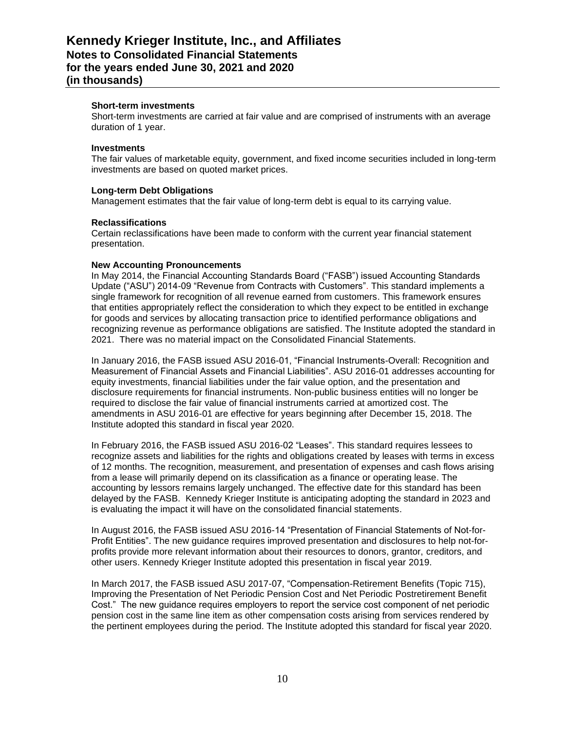### **Short-term investments**

Short-term investments are carried at fair value and are comprised of instruments with an average duration of 1 year.

#### **Investments**

The fair values of marketable equity, government, and fixed income securities included in long-term investments are based on quoted market prices.

### **Long-term Debt Obligations**

Management estimates that the fair value of long-term debt is equal to its carrying value.

### **Reclassifications**

Certain reclassifications have been made to conform with the current year financial statement presentation.

### **New Accounting Pronouncements**

In May 2014, the Financial Accounting Standards Board ("FASB") issued Accounting Standards Update ("ASU") 2014-09 "Revenue from Contracts with Customers". This standard implements a single framework for recognition of all revenue earned from customers. This framework ensures that entities appropriately reflect the consideration to which they expect to be entitled in exchange for goods and services by allocating transaction price to identified performance obligations and recognizing revenue as performance obligations are satisfied. The Institute adopted the standard in 2021. There was no material impact on the Consolidated Financial Statements.

In January 2016, the FASB issued ASU 2016-01, "Financial Instruments-Overall: Recognition and Measurement of Financial Assets and Financial Liabilities". ASU 2016-01 addresses accounting for equity investments, financial liabilities under the fair value option, and the presentation and disclosure requirements for financial instruments. Non-public business entities will no longer be required to disclose the fair value of financial instruments carried at amortized cost. The amendments in ASU 2016-01 are effective for years beginning after December 15, 2018. The Institute adopted this standard in fiscal year 2020.

In February 2016, the FASB issued ASU 2016-02 "Leases". This standard requires lessees to recognize assets and liabilities for the rights and obligations created by leases with terms in excess of 12 months. The recognition, measurement, and presentation of expenses and cash flows arising from a lease will primarily depend on its classification as a finance or operating lease. The accounting by lessors remains largely unchanged. The effective date for this standard has been delayed by the FASB. Kennedy Krieger Institute is anticipating adopting the standard in 2023 and is evaluating the impact it will have on the consolidated financial statements.

In August 2016, the FASB issued ASU 2016-14 "Presentation of Financial Statements of Not-for-Profit Entities". The new guidance requires improved presentation and disclosures to help not-forprofits provide more relevant information about their resources to donors, grantor, creditors, and other users. Kennedy Krieger Institute adopted this presentation in fiscal year 2019.

In March 2017, the FASB issued ASU 2017-07, "Compensation-Retirement Benefits (Topic 715), Improving the Presentation of Net Periodic Pension Cost and Net Periodic Postretirement Benefit Cost." The new guidance requires employers to report the service cost component of net periodic pension cost in the same line item as other compensation costs arising from services rendered by the pertinent employees during the period. The Institute adopted this standard for fiscal year 2020.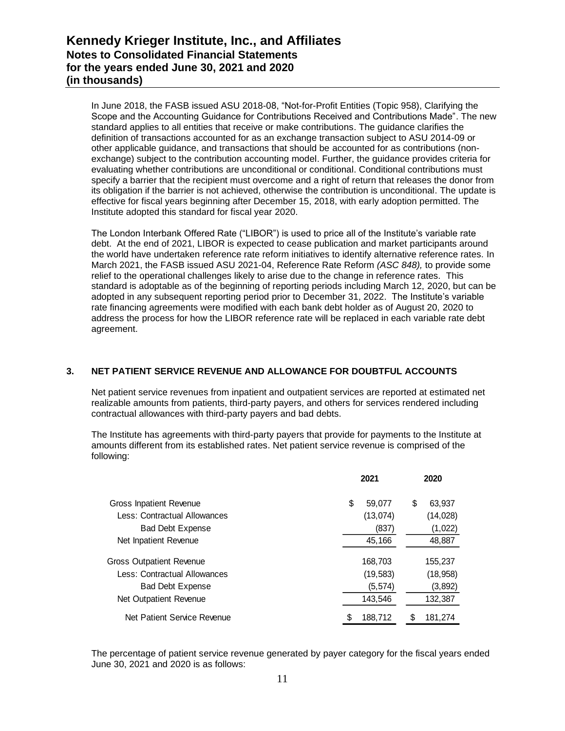In June 2018, the FASB issued ASU 2018-08, "Not-for-Profit Entities (Topic 958), Clarifying the Scope and the Accounting Guidance for Contributions Received and Contributions Made". The new standard applies to all entities that receive or make contributions. The guidance clarifies the definition of transactions accounted for as an exchange transaction subject to ASU 2014-09 or other applicable guidance, and transactions that should be accounted for as contributions (nonexchange) subject to the contribution accounting model. Further, the guidance provides criteria for evaluating whether contributions are unconditional or conditional. Conditional contributions must specify a barrier that the recipient must overcome and a right of return that releases the donor from its obligation if the barrier is not achieved, otherwise the contribution is unconditional. The update is effective for fiscal years beginning after December 15, 2018, with early adoption permitted. The Institute adopted this standard for fiscal year 2020.

The London Interbank Offered Rate ("LIBOR") is used to price all of the Institute's variable rate debt. At the end of 2021, LIBOR is expected to cease publication and market participants around the world have undertaken reference rate reform initiatives to identify alternative reference rates. In March 2021, the FASB issued ASU 2021-04, Reference Rate Reform *(ASC 848),* to provide some relief to the operational challenges likely to arise due to the change in reference rates. This standard is adoptable as of the beginning of reporting periods including March 12, 2020, but can be adopted in any subsequent reporting period prior to December 31, 2022. The Institute's variable rate financing agreements were modified with each bank debt holder as of August 20, 2020 to address the process for how the LIBOR reference rate will be replaced in each variable rate debt agreement.

# **3. NET PATIENT SERVICE REVENUE AND ALLOWANCE FOR DOUBTFUL ACCOUNTS**

Net patient service revenues from inpatient and outpatient services are reported at estimated net realizable amounts from patients, third-party payers, and others for services rendered including contractual allowances with third-party payers and bad debts.

The Institute has agreements with third-party payers that provide for payments to the Institute at amounts different from its established rates. Net patient service revenue is comprised of the following:

|                                | 2021          | 2020         |
|--------------------------------|---------------|--------------|
| <b>Gross Inpatient Revenue</b> | \$<br>59,077  | S<br>63,937  |
| Less: Contractual Allowances   | (13,074)      | (14, 028)    |
| <b>Bad Debt Expense</b>        | (837)         | (1,022)      |
| Net Inpatient Revenue          | 45,166        | 48,887       |
| Gross Outpatient Revenue       | 168,703       | 155,237      |
| Less: Contractual Allowances   | (19, 583)     | (18,958)     |
| <b>Bad Debt Expense</b>        | (5,574)       | (3,892)      |
| Net Outpatient Revenue         | 143,546       | 132,387      |
| Net Patient Service Revenue    | S.<br>188,712 | S<br>181,274 |

The percentage of patient service revenue generated by payer category for the fiscal years ended June 30, 2021 and 2020 is as follows: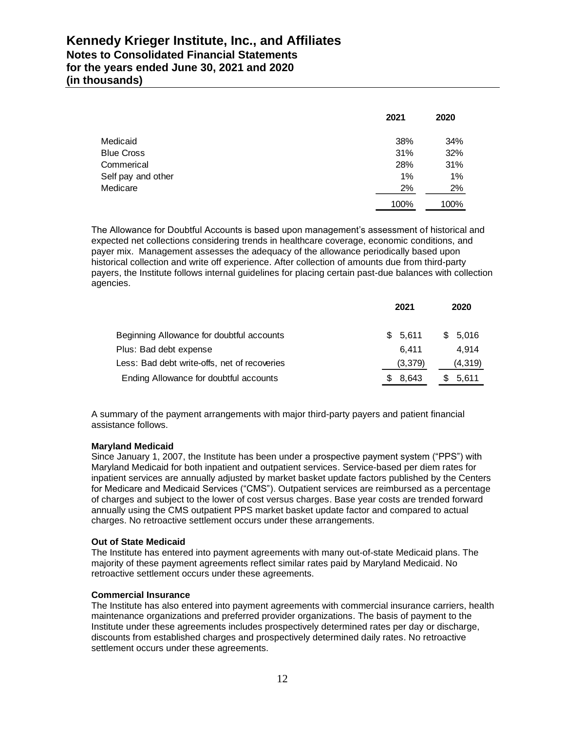|                    | 2021 | 2020 |
|--------------------|------|------|
| Medicaid           | 38%  | 34%  |
| <b>Blue Cross</b>  | 31%  | 32%  |
| Commerical         | 28%  | 31%  |
| Self pay and other | 1%   | 1%   |
| Medicare           | 2%   | 2%   |
|                    | 100% | 100% |

The Allowance for Doubtful Accounts is based upon management's assessment of historical and expected net collections considering trends in healthcare coverage, economic conditions, and payer mix. Management assesses the adequacy of the allowance periodically based upon historical collection and write off experience. After collection of amounts due from third-party payers, the Institute follows internal guidelines for placing certain past-due balances with collection agencies.

|                                              | 2021    | 2020     |
|----------------------------------------------|---------|----------|
| Beginning Allowance for doubtful accounts    | \$5.611 | \$5,016  |
| Plus: Bad debt expense                       | 6.411   | 4.914    |
| Less: Bad debt write-offs, net of recoveries | (3,379) | (4, 319) |
| Ending Allowance for doubtful accounts       | 8.643   | 5,611    |

A summary of the payment arrangements with major third-party payers and patient financial assistance follows.

#### **Maryland Medicaid**

Since January 1, 2007, the Institute has been under a prospective payment system ("PPS") with Maryland Medicaid for both inpatient and outpatient services. Service-based per diem rates for inpatient services are annually adjusted by market basket update factors published by the Centers for Medicare and Medicaid Services ("CMS"). Outpatient services are reimbursed as a percentage of charges and subject to the lower of cost versus charges. Base year costs are trended forward annually using the CMS outpatient PPS market basket update factor and compared to actual charges. No retroactive settlement occurs under these arrangements.

#### **Out of State Medicaid**

The Institute has entered into payment agreements with many out-of-state Medicaid plans. The majority of these payment agreements reflect similar rates paid by Maryland Medicaid. No retroactive settlement occurs under these agreements.

### **Commercial Insurance**

The Institute has also entered into payment agreements with commercial insurance carriers, health maintenance organizations and preferred provider organizations. The basis of payment to the Institute under these agreements includes prospectively determined rates per day or discharge, discounts from established charges and prospectively determined daily rates. No retroactive settlement occurs under these agreements.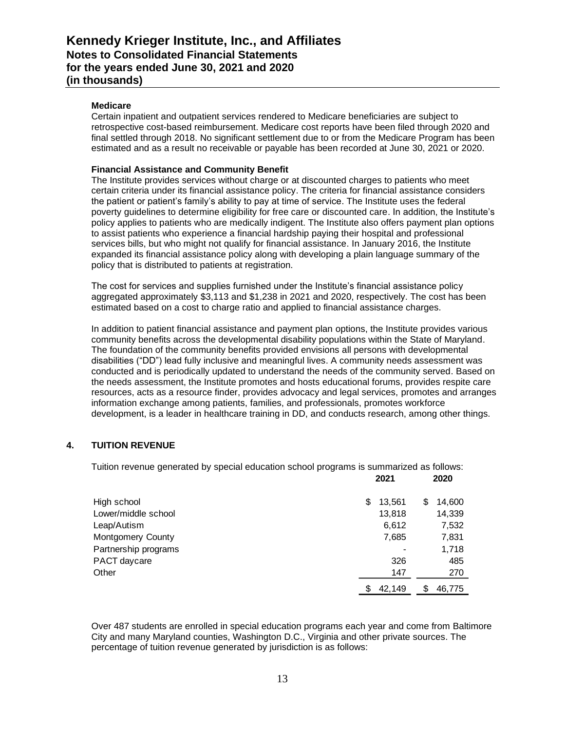### **Medicare**

Certain inpatient and outpatient services rendered to Medicare beneficiaries are subject to retrospective cost-based reimbursement. Medicare cost reports have been filed through 2020 and final settled through 2018. No significant settlement due to or from the Medicare Program has been estimated and as a result no receivable or payable has been recorded at June 30, 2021 or 2020.

### **Financial Assistance and Community Benefit**

The Institute provides services without charge or at discounted charges to patients who meet certain criteria under its financial assistance policy. The criteria for financial assistance considers the patient or patient's family's ability to pay at time of service. The Institute uses the federal poverty guidelines to determine eligibility for free care or discounted care. In addition, the Institute's policy applies to patients who are medically indigent. The Institute also offers payment plan options to assist patients who experience a financial hardship paying their hospital and professional services bills, but who might not qualify for financial assistance. In January 2016, the Institute expanded its financial assistance policy along with developing a plain language summary of the policy that is distributed to patients at registration.

The cost for services and supplies furnished under the Institute's financial assistance policy aggregated approximately \$3,113 and \$1,238 in 2021 and 2020, respectively. The cost has been estimated based on a cost to charge ratio and applied to financial assistance charges.

In addition to patient financial assistance and payment plan options, the Institute provides various community benefits across the developmental disability populations within the State of Maryland. The foundation of the community benefits provided envisions all persons with developmental disabilities ("DD") lead fully inclusive and meaningful lives. A community needs assessment was conducted and is periodically updated to understand the needs of the community served. Based on the needs assessment, the Institute promotes and hosts educational forums, provides respite care resources, acts as a resource finder, provides advocacy and legal services, promotes and arranges information exchange among patients, families, and professionals, promotes workforce development, is a leader in healthcare training in DD, and conducts research, among other things.

### **4. TUITION REVENUE**

Tuition revenue generated by special education school programs is summarized as follows:

|                      | 2021         | 2020         |
|----------------------|--------------|--------------|
| High school          | S<br>13,561  | \$<br>14,600 |
| Lower/middle school  | 13,818       | 14,339       |
| Leap/Autism          | 6,612        | 7,532        |
| Montgomery County    | 7,685        | 7,831        |
| Partnership programs |              | 1,718        |
| PACT daycare         | 326          | 485          |
| Other                | 147          | 270          |
|                      | 42.149<br>\$ | S<br>46.775  |

Over 487 students are enrolled in special education programs each year and come from Baltimore City and many Maryland counties, Washington D.C., Virginia and other private sources. The percentage of tuition revenue generated by jurisdiction is as follows: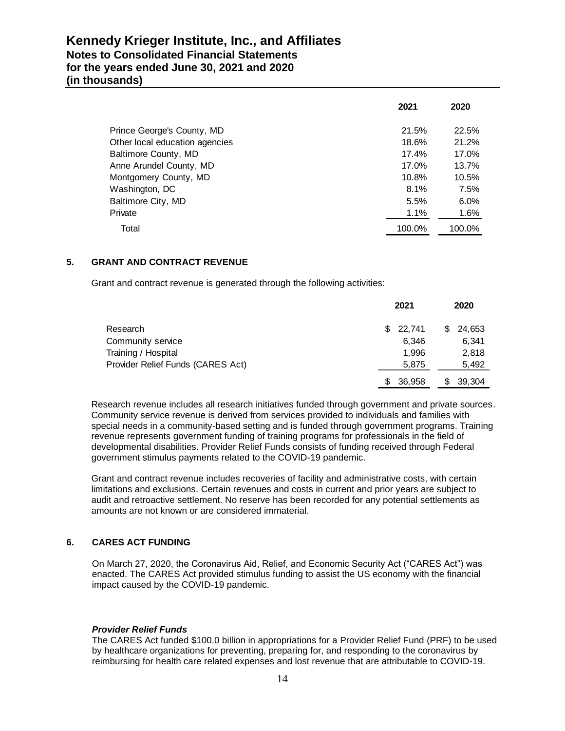|                                | 2021   | 2020    |
|--------------------------------|--------|---------|
| Prince George's County, MD     | 21.5%  | 22.5%   |
| Other local education agencies | 18.6%  | 21.2%   |
| Baltimore County, MD           | 17.4%  | 17.0%   |
| Anne Arundel County, MD        | 17.0%  | 13.7%   |
| Montgomery County, MD          | 10.8%  | 10.5%   |
| Washington, DC                 | 8.1%   | 7.5%    |
| Baltimore City, MD             | 5.5%   | 6.0%    |
| Private                        | 1.1%   | $1.6\%$ |
| Total                          | 100.0% | 100.0%  |

# **5. GRANT AND CONTRACT REVENUE**

Grant and contract revenue is generated through the following activities:

|                                   | 2021     | 2020         |
|-----------------------------------|----------|--------------|
| Research                          | \$22,741 | 24,653<br>\$ |
| Community service                 | 6.346    | 6,341        |
| Training / Hospital               | 1.996    | 2,818        |
| Provider Relief Funds (CARES Act) | 5,875    | 5,492        |
|                                   | 36,958   | 39,304<br>S  |

Research revenue includes all research initiatives funded through government and private sources. Community service revenue is derived from services provided to individuals and families with special needs in a community-based setting and is funded through government programs. Training revenue represents government funding of training programs for professionals in the field of developmental disabilities. Provider Relief Funds consists of funding received through Federal government stimulus payments related to the COVID-19 pandemic.

Grant and contract revenue includes recoveries of facility and administrative costs, with certain limitations and exclusions. Certain revenues and costs in current and prior years are subject to audit and retroactive settlement. No reserve has been recorded for any potential settlements as amounts are not known or are considered immaterial.

### **6. CARES ACT FUNDING**

On March 27, 2020, the Coronavirus Aid, Relief, and Economic Security Act ("CARES Act") was enacted. The CARES Act provided stimulus funding to assist the US economy with the financial impact caused by the COVID-19 pandemic.

### *Provider Relief Funds*

The CARES Act funded \$100.0 billion in appropriations for a Provider Relief Fund (PRF) to be used by healthcare organizations for preventing, preparing for, and responding to the coronavirus by reimbursing for health care related expenses and lost revenue that are attributable to COVID-19.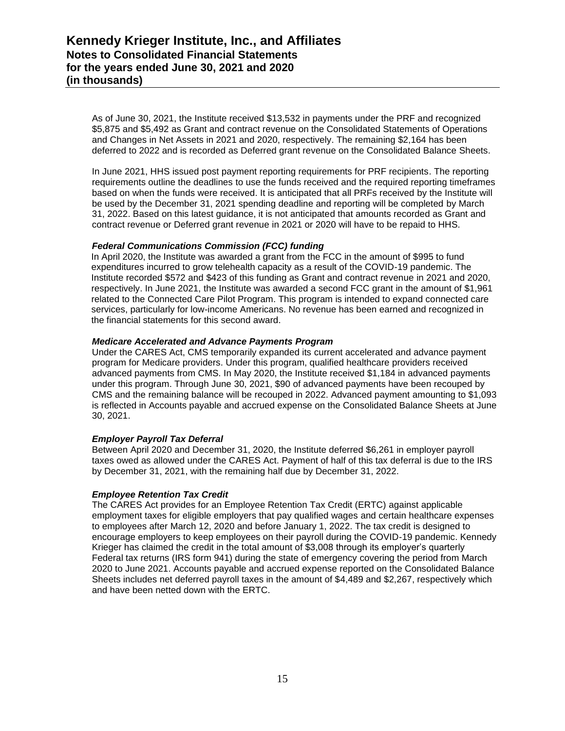As of June 30, 2021, the Institute received \$13,532 in payments under the PRF and recognized \$5,875 and \$5,492 as Grant and contract revenue on the Consolidated Statements of Operations and Changes in Net Assets in 2021 and 2020, respectively. The remaining \$2,164 has been deferred to 2022 and is recorded as Deferred grant revenue on the Consolidated Balance Sheets.

In June 2021, HHS issued post payment reporting requirements for PRF recipients. The reporting requirements outline the deadlines to use the funds received and the required reporting timeframes based on when the funds were received. It is anticipated that all PRFs received by the Institute will be used by the December 31, 2021 spending deadline and reporting will be completed by March 31, 2022. Based on this latest guidance, it is not anticipated that amounts recorded as Grant and contract revenue or Deferred grant revenue in 2021 or 2020 will have to be repaid to HHS.

### *Federal Communications Commission (FCC) funding*

In April 2020, the Institute was awarded a grant from the FCC in the amount of \$995 to fund expenditures incurred to grow telehealth capacity as a result of the COVID-19 pandemic. The Institute recorded \$572 and \$423 of this funding as Grant and contract revenue in 2021 and 2020, respectively. In June 2021, the Institute was awarded a second FCC grant in the amount of \$1,961 related to the Connected Care Pilot Program. This program is intended to expand connected care services, particularly for low-income Americans. No revenue has been earned and recognized in the financial statements for this second award.

### *Medicare Accelerated and Advance Payments Program*

Under the CARES Act, CMS temporarily expanded its current accelerated and advance payment program for Medicare providers. Under this program, qualified healthcare providers received advanced payments from CMS. In May 2020, the Institute received \$1,184 in advanced payments under this program. Through June 30, 2021, \$90 of advanced payments have been recouped by CMS and the remaining balance will be recouped in 2022. Advanced payment amounting to \$1,093 is reflected in Accounts payable and accrued expense on the Consolidated Balance Sheets at June 30, 2021.

# *Employer Payroll Tax Deferral*

Between April 2020 and December 31, 2020, the Institute deferred \$6,261 in employer payroll taxes owed as allowed under the CARES Act. Payment of half of this tax deferral is due to the IRS by December 31, 2021, with the remaining half due by December 31, 2022.

# *Employee Retention Tax Credit*

The CARES Act provides for an Employee Retention Tax Credit (ERTC) against applicable employment taxes for eligible employers that pay qualified wages and certain healthcare expenses to employees after March 12, 2020 and before January 1, 2022. The tax credit is designed to encourage employers to keep employees on their payroll during the COVID-19 pandemic. Kennedy Krieger has claimed the credit in the total amount of \$3,008 through its employer's quarterly Federal tax returns (IRS form 941) during the state of emergency covering the period from March 2020 to June 2021. Accounts payable and accrued expense reported on the Consolidated Balance Sheets includes net deferred payroll taxes in the amount of \$4,489 and \$2,267, respectively which and have been netted down with the ERTC.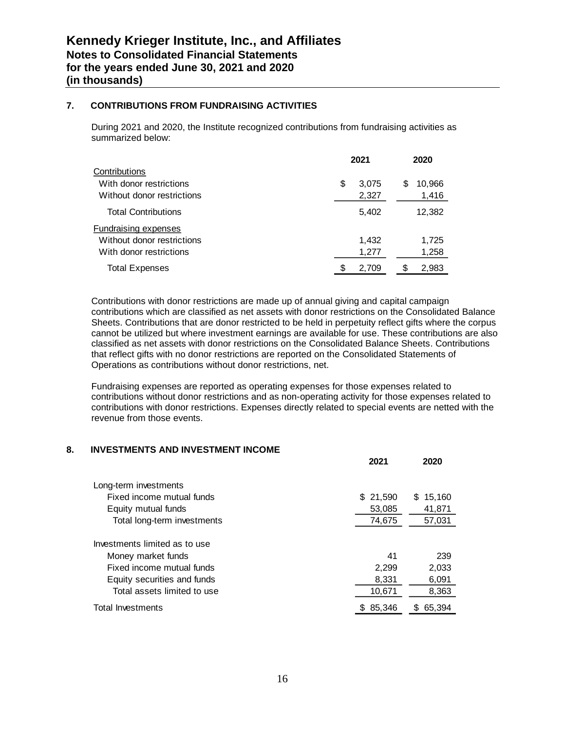### **7. CONTRIBUTIONS FROM FUNDRAISING ACTIVITIES**

During 2021 and 2020, the Institute recognized contributions from fundraising activities as summarized below:

|                                                                                      | 2021                 | 2020                 |
|--------------------------------------------------------------------------------------|----------------------|----------------------|
| Contributions<br>With donor restrictions<br>Without donor restrictions               | \$<br>3,075<br>2,327 | 10,966<br>S<br>1,416 |
| <b>Total Contributions</b>                                                           | 5,402                | 12,382               |
| <b>Fundraising expenses</b><br>Without donor restrictions<br>With donor restrictions | 1,432<br>1,277       | 1,725<br>1,258       |
| <b>Total Expenses</b>                                                                | 2,709                | 2,983                |

Contributions with donor restrictions are made up of annual giving and capital campaign contributions which are classified as net assets with donor restrictions on the Consolidated Balance Sheets. Contributions that are donor restricted to be held in perpetuity reflect gifts where the corpus cannot be utilized but where investment earnings are available for use. These contributions are also classified as net assets with donor restrictions on the Consolidated Balance Sheets. Contributions that reflect gifts with no donor restrictions are reported on the Consolidated Statements of Operations as contributions without donor restrictions, net.

Fundraising expenses are reported as operating expenses for those expenses related to contributions without donor restrictions and as non-operating activity for those expenses related to contributions with donor restrictions. Expenses directly related to special events are netted with the revenue from those events.

# **8. INVESTMENTS AND INVESTMENT INCOME**

|                                                     | 2021      | 2020          |
|-----------------------------------------------------|-----------|---------------|
| Long-term investments                               |           |               |
| Fixed income mutual funds                           | \$ 21,590 | 15,160<br>\$. |
| Equity mutual funds                                 | 53,085    | 41,871        |
| Total long-term investments                         | 74,675    | 57,031        |
| Investments limited as to use<br>Money market funds | 41        | 239           |
| Fixed income mutual funds                           | 2,299     | 2,033         |
| Equity securities and funds                         | 8,331     | 6,091         |
| Total assets limited to use                         | 10.671    | 8,363         |
| <b>Total Investments</b>                            | 85.346    | 65.394        |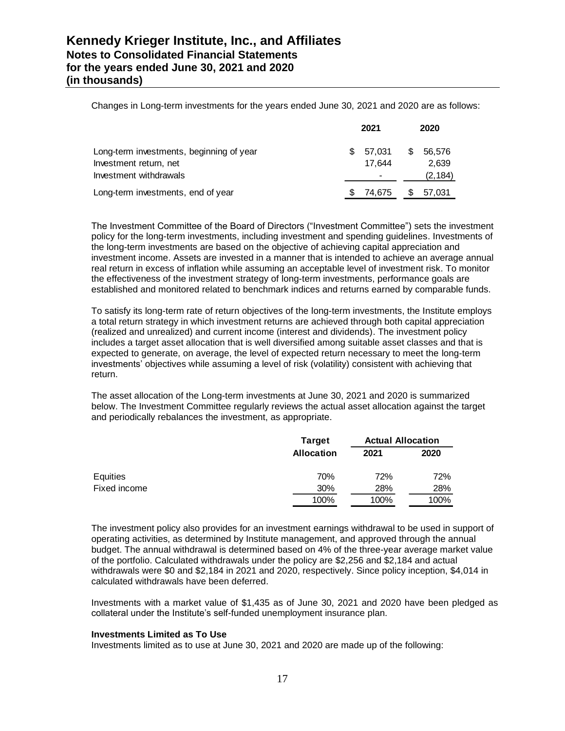Changes in Long-term investments for the years ended June 30, 2021 and 2020 are as follows:

|                                          | 2021                     | 2020         |
|------------------------------------------|--------------------------|--------------|
| Long-term investments, beginning of year | 57.031<br>SS.            | 56.576<br>S. |
| Investment return, net                   | 17.644                   | 2.639        |
| Investment withdrawals                   | $\overline{\phantom{0}}$ | (2, 184)     |
| Long-term investments, end of year       | 74,675                   | S<br>57,031  |

The Investment Committee of the Board of Directors ("Investment Committee") sets the investment policy for the long-term investments, including investment and spending guidelines. Investments of the long-term investments are based on the objective of achieving capital appreciation and investment income. Assets are invested in a manner that is intended to achieve an average annual real return in excess of inflation while assuming an acceptable level of investment risk. To monitor the effectiveness of the investment strategy of long-term investments, performance goals are established and monitored related to benchmark indices and returns earned by comparable funds.

To satisfy its long-term rate of return objectives of the long-term investments, the Institute employs a total return strategy in which investment returns are achieved through both capital appreciation (realized and unrealized) and current income (interest and dividends). The investment policy includes a target asset allocation that is well diversified among suitable asset classes and that is expected to generate, on average, the level of expected return necessary to meet the long-term investments' objectives while assuming a level of risk (volatility) consistent with achieving that return.

The asset allocation of the Long-term investments at June 30, 2021 and 2020 is summarized below. The Investment Committee regularly reviews the actual asset allocation against the target and periodically rebalances the investment, as appropriate.

|              | <b>Target</b>     | <b>Actual Allocation</b> |      |
|--------------|-------------------|--------------------------|------|
|              | <b>Allocation</b> | 2021                     | 2020 |
| Equities     | 70%               | 72%                      | 72%  |
| Fixed income | 30%               | 28%                      | 28%  |
|              | 100%              | 100%                     | 100% |

The investment policy also provides for an investment earnings withdrawal to be used in support of operating activities, as determined by Institute management, and approved through the annual budget. The annual withdrawal is determined based on 4% of the three-year average market value of the portfolio. Calculated withdrawals under the policy are \$2,256 and \$2,184 and actual withdrawals were \$0 and \$2,184 in 2021 and 2020, respectively. Since policy inception, \$4,014 in calculated withdrawals have been deferred.

Investments with a market value of \$1,435 as of June 30, 2021 and 2020 have been pledged as collateral under the Institute's self-funded unemployment insurance plan.

### **Investments Limited as To Use**

Investments limited as to use at June 30, 2021 and 2020 are made up of the following: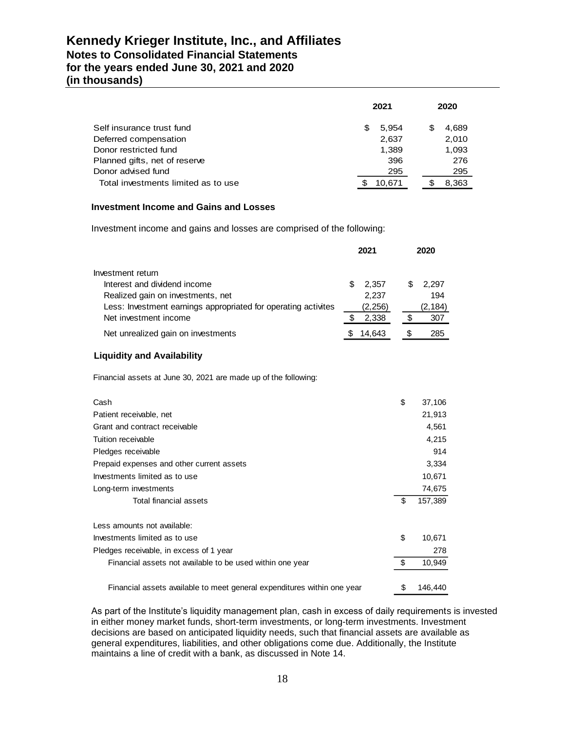|                                     |   | 2021   |   | 2020  |
|-------------------------------------|---|--------|---|-------|
| Self insurance trust fund           | S | 5.954  | S | 4,689 |
| Deferred compensation               |   | 2,637  |   | 2,010 |
| Donor restricted fund               |   | 1,389  |   | 1,093 |
| Planned gifts, net of reserve       |   | 396    |   | 276   |
| Donor advised fund                  |   | 295    |   | 295   |
| Total investments limited as to use |   | 10.671 |   | 8,363 |

#### **Investment Income and Gains and Losses**

Investment income and gains and losses are comprised of the following:

|                                                                | 2021       | 2020       |
|----------------------------------------------------------------|------------|------------|
| Investment return                                              |            |            |
| Interest and dividend income                                   | 2,357<br>S | 2.297<br>S |
| Realized gain on investments, net                              | 2.237      | 194        |
| Less: Investment earnings appropriated for operating activites | (2,256)    | (2, 184)   |
| Net investment income                                          | 2.338      | 307<br>S   |
| Net unrealized gain on investments                             | 14.643     | 285        |

### **Liquidity and Availability**

Financial assets at June 30, 2021 are made up of the following:

| Cash                                                                    | \$ | 37,106  |
|-------------------------------------------------------------------------|----|---------|
| Patient receivable, net                                                 |    | 21,913  |
| Grant and contract receivable                                           |    | 4,561   |
| Tuition receivable                                                      |    | 4,215   |
| Pledges receivable                                                      |    | 914     |
| Prepaid expenses and other current assets                               |    | 3,334   |
| Investments limited as to use                                           |    | 10,671  |
| Long-term investments                                                   |    | 74,675  |
| Total financial assets                                                  | \$ | 157,389 |
| Less amounts not available:                                             |    |         |
| Investments limited as to use                                           | \$ | 10,671  |
| Pledges receivable, in excess of 1 year                                 |    | 278     |
| Financial assets not available to be used within one year               | \$ | 10,949  |
| Financial assets available to meet general expenditures within one year | S  | 146.440 |

As part of the Institute's liquidity management plan, cash in excess of daily requirements is invested in either money market funds, short-term investments, or long-term investments. Investment decisions are based on anticipated liquidity needs, such that financial assets are available as general expenditures, liabilities, and other obligations come due. Additionally, the Institute maintains a line of credit with a bank, as discussed in Note 14.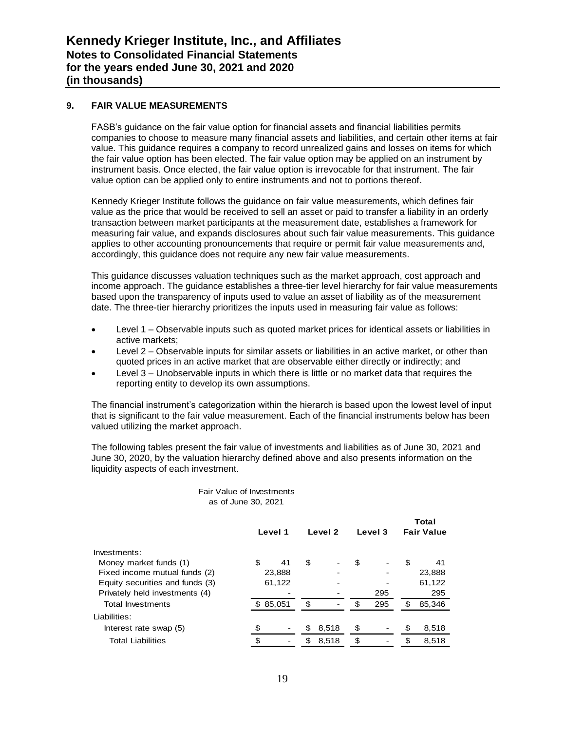### **9. FAIR VALUE MEASUREMENTS**

FASB's guidance on the fair value option for financial assets and financial liabilities permits companies to choose to measure many financial assets and liabilities, and certain other items at fair value. This guidance requires a company to record unrealized gains and losses on items for which the fair value option has been elected. The fair value option may be applied on an instrument by instrument basis. Once elected, the fair value option is irrevocable for that instrument. The fair value option can be applied only to entire instruments and not to portions thereof.

Kennedy Krieger Institute follows the guidance on fair value measurements, which defines fair value as the price that would be received to sell an asset or paid to transfer a liability in an orderly transaction between market participants at the measurement date, establishes a framework for measuring fair value, and expands disclosures about such fair value measurements. This guidance applies to other accounting pronouncements that require or permit fair value measurements and, accordingly, this guidance does not require any new fair value measurements.

This guidance discusses valuation techniques such as the market approach, cost approach and income approach. The guidance establishes a three-tier level hierarchy for fair value measurements based upon the transparency of inputs used to value an asset of liability as of the measurement date. The three-tier hierarchy prioritizes the inputs used in measuring fair value as follows:

- Level 1 Observable inputs such as quoted market prices for identical assets or liabilities in active markets;
- Level 2 Observable inputs for similar assets or liabilities in an active market, or other than quoted prices in an active market that are observable either directly or indirectly; and
- Level 3 Unobservable inputs in which there is little or no market data that requires the reporting entity to develop its own assumptions.

The financial instrument's categorization within the hierarch is based upon the lowest level of input that is significant to the fair value measurement. Each of the financial instruments below has been valued utilizing the market approach.

The following tables present the fair value of investments and liabilities as of June 30, 2021 and June 30, 2020, by the valuation hierarchy defined above and also presents information on the liquidity aspects of each investment.

|                                 | Level 1 |        | Level 2 |                          | Level 3 |     | Total<br><b>Fair Value</b> |
|---------------------------------|---------|--------|---------|--------------------------|---------|-----|----------------------------|
| Investments:                    |         |        |         |                          |         |     |                            |
| Money market funds (1)          | \$      | 41     | \$      |                          | \$      | \$  | 41                         |
| Fixed income mutual funds (2)   |         | 23,888 |         |                          |         |     | 23,888                     |
| Equity securities and funds (3) |         | 61,122 |         |                          |         |     | 61,122                     |
| Privately held investments (4)  |         |        |         |                          | 295     |     | 295                        |
| <b>Total Investments</b>        | \$.     | 85,051 | \$.     | $\overline{\phantom{0}}$ | 295     | \$. | 85,346                     |
| Liabilities:                    |         |        |         |                          |         |     |                            |
| Interest rate swap (5)          | \$      |        | S       | 8,518                    | \$      | \$  | 8,518                      |
| <b>Total Liabilities</b>        | \$      |        | \$      | 8,518                    | \$      | \$  | 8,518                      |

Fair Value of Investments as of June 30, 2021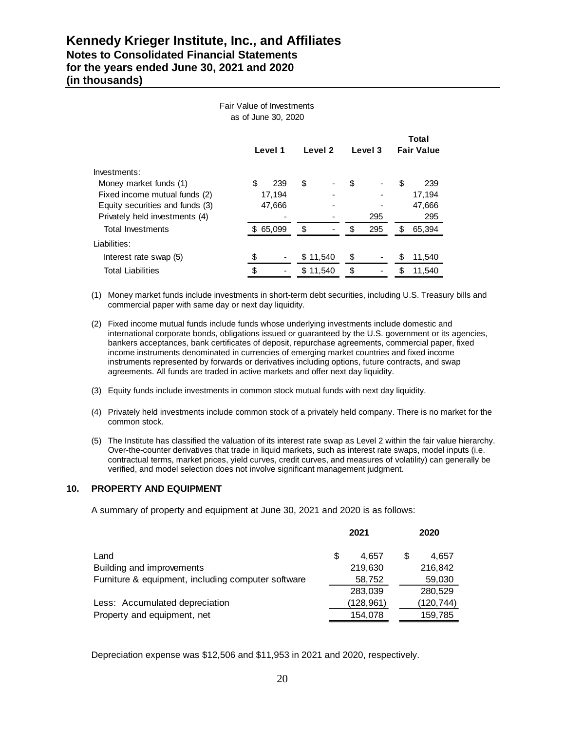# Fair Value of Investments as of June 30, 2020

|                          |                                                                                                                                                                                                                                                                                                                                                                                                                                                                                                                                                                                                                                                                                                                                                                                                                                                                                                                                                                                                                                                                                                                                                | Level 1   | Level 2  |    |      | Level 3   | Total<br><b>Fair Value</b> |
|--------------------------|------------------------------------------------------------------------------------------------------------------------------------------------------------------------------------------------------------------------------------------------------------------------------------------------------------------------------------------------------------------------------------------------------------------------------------------------------------------------------------------------------------------------------------------------------------------------------------------------------------------------------------------------------------------------------------------------------------------------------------------------------------------------------------------------------------------------------------------------------------------------------------------------------------------------------------------------------------------------------------------------------------------------------------------------------------------------------------------------------------------------------------------------|-----------|----------|----|------|-----------|----------------------------|
|                          |                                                                                                                                                                                                                                                                                                                                                                                                                                                                                                                                                                                                                                                                                                                                                                                                                                                                                                                                                                                                                                                                                                                                                |           |          |    |      |           |                            |
|                          | Investments:<br>Money market funds (1)                                                                                                                                                                                                                                                                                                                                                                                                                                                                                                                                                                                                                                                                                                                                                                                                                                                                                                                                                                                                                                                                                                         | \$<br>239 | \$       |    | \$   |           | \$<br>239                  |
|                          | Fixed income mutual funds (2)                                                                                                                                                                                                                                                                                                                                                                                                                                                                                                                                                                                                                                                                                                                                                                                                                                                                                                                                                                                                                                                                                                                  | 17,194    |          |    |      |           | 17,194                     |
|                          | Equity securities and funds (3)                                                                                                                                                                                                                                                                                                                                                                                                                                                                                                                                                                                                                                                                                                                                                                                                                                                                                                                                                                                                                                                                                                                | 47,666    |          |    |      |           | 47,666                     |
|                          | Privately held investments (4)                                                                                                                                                                                                                                                                                                                                                                                                                                                                                                                                                                                                                                                                                                                                                                                                                                                                                                                                                                                                                                                                                                                 |           |          |    |      | 295       | 295                        |
|                          | <b>Total Investments</b>                                                                                                                                                                                                                                                                                                                                                                                                                                                                                                                                                                                                                                                                                                                                                                                                                                                                                                                                                                                                                                                                                                                       | \$65,099  | \$       |    | \$   | 295       | \$<br>65,394               |
|                          | Liabilities:                                                                                                                                                                                                                                                                                                                                                                                                                                                                                                                                                                                                                                                                                                                                                                                                                                                                                                                                                                                                                                                                                                                                   |           |          |    |      |           |                            |
|                          | Interest rate swap (5)                                                                                                                                                                                                                                                                                                                                                                                                                                                                                                                                                                                                                                                                                                                                                                                                                                                                                                                                                                                                                                                                                                                         | \$        | \$11,540 |    | \$   |           | \$<br>11,540               |
|                          | <b>Total Liabilities</b>                                                                                                                                                                                                                                                                                                                                                                                                                                                                                                                                                                                                                                                                                                                                                                                                                                                                                                                                                                                                                                                                                                                       | \$        | \$11,540 |    | \$   |           | \$<br>11,540               |
| (1)<br>(2)<br>(3)<br>(5) | Money market funds include investments in short-term debt securities, including U.S. Treas<br>commercial paper with same day or next day liquidity.<br>Fixed income mutual funds include funds whose underlying investments include domestic a<br>international corporate bonds, obligations issued or guaranteed by the U.S. government or i<br>bankers acceptances, bank certificates of deposit, repurchase agreements, commercial pap<br>income instruments denominated in currencies of emerging market countries and fixed inco<br>instruments represented by forwards or derivatives including options, future contracts, and s<br>agreements. All funds are traded in active markets and offer next day liquidity.<br>Equity funds include investments in common stock mutual funds with next day liquidity.<br>(4) Privately held investments include common stock of a privately held company. There is no r<br>common stock.<br>The Institute has classified the valuation of its interest rate swap as Level 2 within the fair va<br>Over-the-counter derivatives that trade in liquid markets, such as interest rate swaps, model |           |          |    |      |           |                            |
|                          | contractual terms, market prices, yield curves, credit curves, and measures of volatility) can<br>verified, and model selection does not involve significant management judgment.                                                                                                                                                                                                                                                                                                                                                                                                                                                                                                                                                                                                                                                                                                                                                                                                                                                                                                                                                              |           |          |    |      |           |                            |
|                          | PROPERTY AND EQUIPMENT                                                                                                                                                                                                                                                                                                                                                                                                                                                                                                                                                                                                                                                                                                                                                                                                                                                                                                                                                                                                                                                                                                                         |           |          |    |      |           |                            |
|                          | A summary of property and equipment at June 30, 2021 and 2020 is as follows:                                                                                                                                                                                                                                                                                                                                                                                                                                                                                                                                                                                                                                                                                                                                                                                                                                                                                                                                                                                                                                                                   |           |          |    |      |           |                            |
|                          |                                                                                                                                                                                                                                                                                                                                                                                                                                                                                                                                                                                                                                                                                                                                                                                                                                                                                                                                                                                                                                                                                                                                                |           |          |    | 2021 |           | 2020                       |
| Land                     |                                                                                                                                                                                                                                                                                                                                                                                                                                                                                                                                                                                                                                                                                                                                                                                                                                                                                                                                                                                                                                                                                                                                                |           |          | \$ |      | 4,657     | \$<br>4,6                  |
|                          | Building and improvements                                                                                                                                                                                                                                                                                                                                                                                                                                                                                                                                                                                                                                                                                                                                                                                                                                                                                                                                                                                                                                                                                                                      |           |          |    |      | 219,630   | 216,8                      |
|                          | Furniture & equipment, including computer software                                                                                                                                                                                                                                                                                                                                                                                                                                                                                                                                                                                                                                                                                                                                                                                                                                                                                                                                                                                                                                                                                             |           |          |    |      | 58,752    | 59,0                       |
|                          |                                                                                                                                                                                                                                                                                                                                                                                                                                                                                                                                                                                                                                                                                                                                                                                                                                                                                                                                                                                                                                                                                                                                                |           |          |    |      | 283,039   | 280,5                      |
|                          | Less: Accumulated depreciation                                                                                                                                                                                                                                                                                                                                                                                                                                                                                                                                                                                                                                                                                                                                                                                                                                                                                                                                                                                                                                                                                                                 |           |          |    |      | (128,961) | (120,7                     |
|                          | Property and equipment, net                                                                                                                                                                                                                                                                                                                                                                                                                                                                                                                                                                                                                                                                                                                                                                                                                                                                                                                                                                                                                                                                                                                    |           |          |    |      | 154,078   | 159,7                      |
|                          | Depreciation expense was \$12,506 and \$11,953 in 2021 and 2020, respectively.                                                                                                                                                                                                                                                                                                                                                                                                                                                                                                                                                                                                                                                                                                                                                                                                                                                                                                                                                                                                                                                                 |           |          |    |      |           |                            |
|                          |                                                                                                                                                                                                                                                                                                                                                                                                                                                                                                                                                                                                                                                                                                                                                                                                                                                                                                                                                                                                                                                                                                                                                | 20        |          |    |      |           |                            |

- (1) Money market funds include investments in short-term debt securities, including U.S. Treasury bills and commercial paper with same day or next day liquidity.
- (2) Fixed income mutual funds include funds whose underlying investments include domestic and international corporate bonds, obligations issued or guaranteed by the U.S. government or its agencies, bankers acceptances, bank certificates of deposit, repurchase agreements, commercial paper, fixed income instruments denominated in currencies of emerging market countries and fixed income instruments represented by forwards or derivatives including options, future contracts, and swap agreements. All funds are traded in active markets and offer next day liquidity.
- (3) Equity funds include investments in common stock mutual funds with next day liquidity.
- (4) Privately held investments include common stock of a privately held company. There is no market for the common stock.
- (5) The Institute has classified the valuation of its interest rate swap as Level 2 within the fair value hierarchy. Over-the-counter derivatives that trade in liquid markets, such as interest rate swaps, model inputs (i.e. contractual terms, market prices, yield curves, credit curves, and measures of volatility) can generally be verified, and model selection does not involve significant management judgment.

#### **10. PROPERTY AND EQUIPMENT**

|                                                    |   | 2021      |   | 2020       |
|----------------------------------------------------|---|-----------|---|------------|
| Land                                               | S | 4.657     | S | 4.657      |
| Building and improvements                          |   | 219,630   |   | 216,842    |
| Furniture & equipment, including computer software |   | 58,752    |   | 59,030     |
|                                                    |   | 283,039   |   | 280,529    |
| Less: Accumulated depreciation                     |   | (128,961) |   | (120, 744) |
| Property and equipment, net                        |   | 154,078   |   | 159,785    |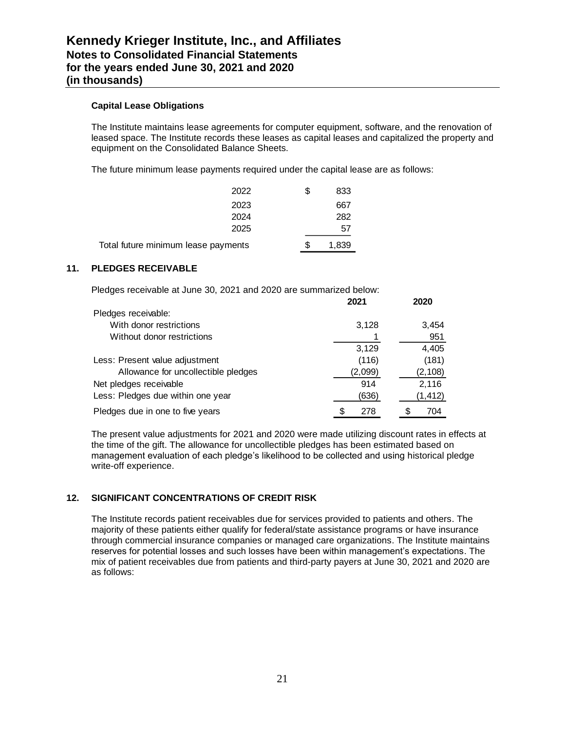### **Capital Lease Obligations**

The Institute maintains lease agreements for computer equipment, software, and the renovation of leased space. The Institute records these leases as capital leases and capitalized the property and equipment on the Consolidated Balance Sheets.

The future minimum lease payments required under the capital lease are as follows:

| 2022                                | 833   |
|-------------------------------------|-------|
| 2023                                | 667   |
| 2024                                | 282   |
| 2025                                | 57    |
| Total future minimum lease payments | 1,839 |

# **11. PLEDGES RECEIVABLE**

Pledges receivable at June 30, 2021 and 2020 are summarized below:

|                                     | 2021      | 2020     |
|-------------------------------------|-----------|----------|
| Pledges receivable:                 |           |          |
| With donor restrictions             | 3,128     | 3,454    |
| Without donor restrictions          |           | 951      |
|                                     | 3,129     | 4,405    |
| Less: Present value adjustment      | (116)     | (181)    |
| Allowance for uncollectible pledges | (2.099)   | (2, 108) |
| Net pledges receivable              | 914       | 2,116    |
| Less: Pledges due within one year   | (636)     | (1, 412) |
| Pledges due in one to five years    | 278<br>\$ | 704      |

The present value adjustments for 2021 and 2020 were made utilizing discount rates in effects at the time of the gift. The allowance for uncollectible pledges has been estimated based on management evaluation of each pledge's likelihood to be collected and using historical pledge write-off experience.

# **12. SIGNIFICANT CONCENTRATIONS OF CREDIT RISK**

The Institute records patient receivables due for services provided to patients and others. The majority of these patients either qualify for federal/state assistance programs or have insurance through commercial insurance companies or managed care organizations. The Institute maintains reserves for potential losses and such losses have been within management's expectations. The mix of patient receivables due from patients and third-party payers at June 30, 2021 and 2020 are as follows: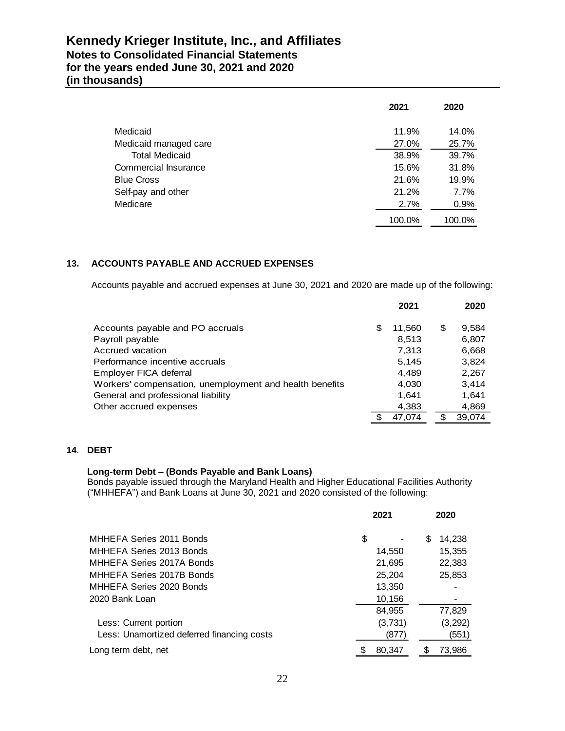|                       | 2021   | 2020   |
|-----------------------|--------|--------|
| Medicaid              | 11.9%  | 14.0%  |
| Medicaid managed care | 27.0%  | 25.7%  |
| <b>Total Medicaid</b> | 38.9%  | 39.7%  |
| Commercial Insurance  | 15.6%  | 31.8%  |
| <b>Blue Cross</b>     | 21.6%  | 19.9%  |
| Self-pay and other    | 21.2%  | 7.7%   |
| Medicare              | 2.7%   | 0.9%   |
|                       | 100.0% | 100.0% |

### **13. ACCOUNTS PAYABLE AND ACCRUED EXPENSES**

Accounts payable and accrued expenses at June 30, 2021 and 2020 are made up of the following:

|                                                         |   | 2021   |    | 2020   |
|---------------------------------------------------------|---|--------|----|--------|
| Accounts payable and PO accruals                        | S | 11.560 | \$ | 9,584  |
| Payroll payable                                         |   | 8,513  |    | 6,807  |
| Accrued vacation                                        |   | 7.313  |    | 6,668  |
| Performance incentive accruals                          |   | 5,145  |    | 3,824  |
| Employer FICA deferral                                  |   | 4,489  |    | 2,267  |
| Workers' compensation, unemployment and health benefits |   | 4,030  |    | 3,414  |
| General and professional liability                      |   | 1.641  |    | 1,641  |
| Other accrued expenses                                  |   | 4,383  |    | 4,869  |
|                                                         |   | 47.074 | S  | 39.074 |

# **14**. **DEBT**

### **Long-term Debt – (Bonds Payable and Bank Loans)**

Bonds payable issued through the Maryland Health and Higher Educational Facilities Authority ("MHHEFA") and Bank Loans at June 30, 2021 and 2020 consisted of the following:

|                                            | 2021    |   | 2020     |
|--------------------------------------------|---------|---|----------|
| MHHEFA Series 2011 Bonds                   | \$      | S | 14.238   |
| MHHEFA Series 2013 Bonds                   | 14,550  |   | 15,355   |
| MHHEFA Series 2017A Bonds                  | 21,695  |   | 22,383   |
| MHHEFA Series 2017B Bonds                  | 25,204  |   | 25.853   |
| MHHEFA Series 2020 Bonds                   | 13,350  |   |          |
| 2020 Bank Loan                             | 10,156  |   |          |
|                                            | 84,955  |   | 77,829   |
| Less: Current portion                      | (3,731) |   | (3, 292) |
| Less: Unamortized deferred financing costs | (877)   |   | (551)    |
| Long term debt, net                        | 80.347  |   | 73,986   |
|                                            |         |   |          |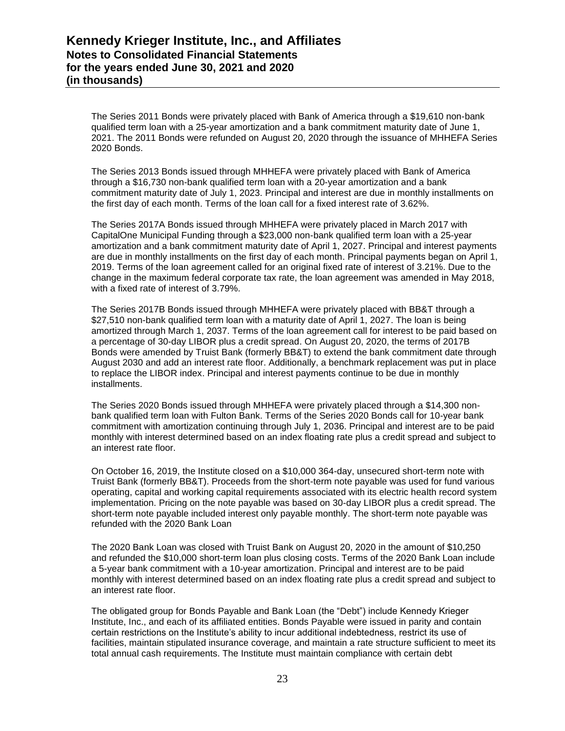The Series 2011 Bonds were privately placed with Bank of America through a \$19,610 non-bank qualified term loan with a 25-year amortization and a bank commitment maturity date of June 1, 2021. The 2011 Bonds were refunded on August 20, 2020 through the issuance of MHHEFA Series 2020 Bonds.

The Series 2013 Bonds issued through MHHEFA were privately placed with Bank of America through a \$16,730 non-bank qualified term loan with a 20-year amortization and a bank commitment maturity date of July 1, 2023. Principal and interest are due in monthly installments on the first day of each month. Terms of the loan call for a fixed interest rate of 3.62%.

The Series 2017A Bonds issued through MHHEFA were privately placed in March 2017 with CapitalOne Municipal Funding through a \$23,000 non-bank qualified term loan with a 25-year amortization and a bank commitment maturity date of April 1, 2027. Principal and interest payments are due in monthly installments on the first day of each month. Principal payments began on April 1, 2019. Terms of the loan agreement called for an original fixed rate of interest of 3.21%. Due to the change in the maximum federal corporate tax rate, the loan agreement was amended in May 2018, with a fixed rate of interest of 3.79%.

The Series 2017B Bonds issued through MHHEFA were privately placed with BB&T through a \$27,510 non-bank qualified term loan with a maturity date of April 1, 2027. The loan is being amortized through March 1, 2037. Terms of the loan agreement call for interest to be paid based on a percentage of 30-day LIBOR plus a credit spread. On August 20, 2020, the terms of 2017B Bonds were amended by Truist Bank (formerly BB&T) to extend the bank commitment date through August 2030 and add an interest rate floor. Additionally, a benchmark replacement was put in place to replace the LIBOR index. Principal and interest payments continue to be due in monthly installments.

The Series 2020 Bonds issued through MHHEFA were privately placed through a \$14,300 nonbank qualified term loan with Fulton Bank. Terms of the Series 2020 Bonds call for 10-year bank commitment with amortization continuing through July 1, 2036. Principal and interest are to be paid monthly with interest determined based on an index floating rate plus a credit spread and subject to an interest rate floor.

On October 16, 2019, the Institute closed on a \$10,000 364-day, unsecured short-term note with Truist Bank (formerly BB&T). Proceeds from the short-term note payable was used for fund various operating, capital and working capital requirements associated with its electric health record system implementation. Pricing on the note payable was based on 30-day LIBOR plus a credit spread. The short-term note payable included interest only payable monthly. The short-term note payable was refunded with the 2020 Bank Loan

The 2020 Bank Loan was closed with Truist Bank on August 20, 2020 in the amount of \$10,250 and refunded the \$10,000 short-term loan plus closing costs. Terms of the 2020 Bank Loan include a 5-year bank commitment with a 10-year amortization. Principal and interest are to be paid monthly with interest determined based on an index floating rate plus a credit spread and subject to an interest rate floor.

The obligated group for Bonds Payable and Bank Loan (the "Debt") include Kennedy Krieger Institute, Inc., and each of its affiliated entities. Bonds Payable were issued in parity and contain certain restrictions on the Institute's ability to incur additional indebtedness, restrict its use of facilities, maintain stipulated insurance coverage, and maintain a rate structure sufficient to meet its total annual cash requirements. The Institute must maintain compliance with certain debt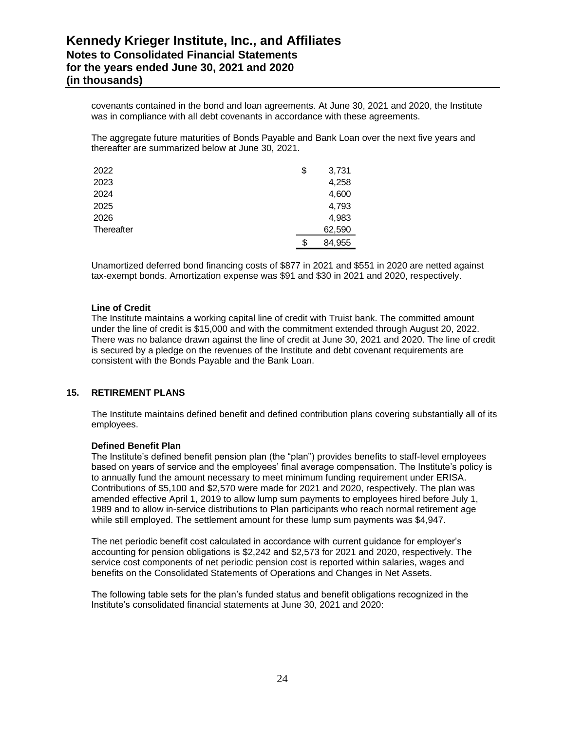covenants contained in the bond and loan agreements. At June 30, 2021 and 2020, the Institute was in compliance with all debt covenants in accordance with these agreements.

The aggregate future maturities of Bonds Payable and Bank Loan over the next five years and thereafter are summarized below at June 30, 2021.

| 2022       | \$<br>3,731  |
|------------|--------------|
| 2023       | 4,258        |
| 2024       | 4,600        |
| 2025       | 4,793        |
| 2026       | 4,983        |
| Thereafter | 62,590       |
|            | \$<br>84,955 |

Unamortized deferred bond financing costs of \$877 in 2021 and \$551 in 2020 are netted against tax-exempt bonds. Amortization expense was \$91 and \$30 in 2021 and 2020, respectively.

### **Line of Credit**

The Institute maintains a working capital line of credit with Truist bank. The committed amount under the line of credit is \$15,000 and with the commitment extended through August 20, 2022. There was no balance drawn against the line of credit at June 30, 2021 and 2020. The line of credit is secured by a pledge on the revenues of the Institute and debt covenant requirements are consistent with the Bonds Payable and the Bank Loan.

### **15. RETIREMENT PLANS**

The Institute maintains defined benefit and defined contribution plans covering substantially all of its employees.

#### **Defined Benefit Plan**

The Institute's defined benefit pension plan (the "plan") provides benefits to staff-level employees based on years of service and the employees' final average compensation. The Institute's policy is to annually fund the amount necessary to meet minimum funding requirement under ERISA. Contributions of \$5,100 and \$2,570 were made for 2021 and 2020, respectively. The plan was amended effective April 1, 2019 to allow lump sum payments to employees hired before July 1, 1989 and to allow in-service distributions to Plan participants who reach normal retirement age while still employed. The settlement amount for these lump sum payments was \$4,947.

The net periodic benefit cost calculated in accordance with current guidance for employer's accounting for pension obligations is \$2,242 and \$2,573 for 2021 and 2020, respectively. The service cost components of net periodic pension cost is reported within salaries, wages and benefits on the Consolidated Statements of Operations and Changes in Net Assets.

The following table sets for the plan's funded status and benefit obligations recognized in the Institute's consolidated financial statements at June 30, 2021 and 2020: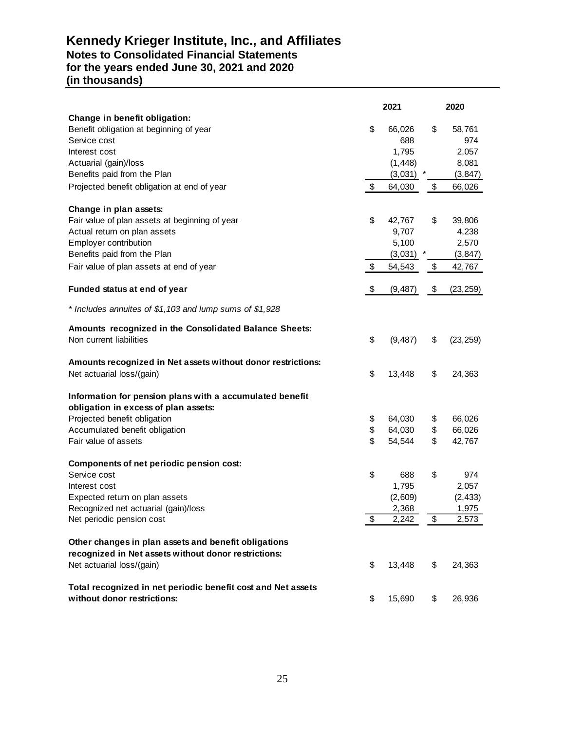|                                                              | 2021 |          | 2020 |           |
|--------------------------------------------------------------|------|----------|------|-----------|
| Change in benefit obligation:                                |      |          |      |           |
| Benefit obligation at beginning of year                      | \$   | 66,026   | \$   | 58,761    |
| Service cost                                                 |      | 688      |      | 974       |
| Interest cost                                                |      | 1,795    |      | 2,057     |
| Actuarial (gain)/loss                                        |      | (1, 448) |      | 8,081     |
| Benefits paid from the Plan                                  |      | (3,031)  |      | (3, 847)  |
| Projected benefit obligation at end of year                  | \$   | 64,030   | \$   | 66,026    |
| Change in plan assets:                                       |      |          |      |           |
| Fair value of plan assets at beginning of year               | \$   | 42,767   | \$   | 39,806    |
| Actual return on plan assets                                 |      | 9,707    |      | 4,238     |
| Employer contribution                                        |      | 5,100    |      | 2,570     |
| Benefits paid from the Plan                                  |      | (3,031)  |      | (3, 847)  |
| Fair value of plan assets at end of year                     | \$   | 54,543   | \$   | 42,767    |
| Funded status at end of year                                 | \$   | (9, 487) | \$   | (23, 259) |
| * Includes annuites of \$1,103 and lump sums of \$1,928      |      |          |      |           |
| Amounts recognized in the Consolidated Balance Sheets:       |      |          |      |           |
| Non current liabilities                                      | \$   | (9, 487) | \$   | (23, 259) |
| Amounts recognized in Net assets without donor restrictions: |      |          |      |           |
| Net actuarial loss/(gain)                                    | \$   | 13,448   | \$   | 24,363    |
| Information for pension plans with a accumulated benefit     |      |          |      |           |
| obligation in excess of plan assets:                         |      |          |      |           |
| Projected benefit obligation                                 | \$   | 64,030   | \$   | 66,026    |
| Accumulated benefit obligation                               | \$   | 64,030   | \$   | 66,026    |
| Fair value of assets                                         | \$   | 54,544   | \$   | 42,767    |
| Components of net periodic pension cost:                     |      |          |      |           |
| Service cost                                                 | \$   | 688      | \$   | 974       |
| Interest cost                                                |      | 1,795    |      | 2,057     |
| Expected return on plan assets                               |      | (2,609)  |      | (2, 433)  |
| Recognized net actuarial (gain)/loss                         |      | 2,368    |      | 1,975     |
| Net periodic pension cost                                    | \$   | 2,242    | \$   | 2,573     |
| Other changes in plan assets and benefit obligations         |      |          |      |           |
| recognized in Net assets without donor restrictions:         |      |          |      |           |
| Net actuarial loss/(gain)                                    | \$   | 13,448   | \$   | 24,363    |
| Total recognized in net periodic benefit cost and Net assets |      |          |      |           |
| without donor restrictions:                                  | \$   | 15,690   | \$   | 26,936    |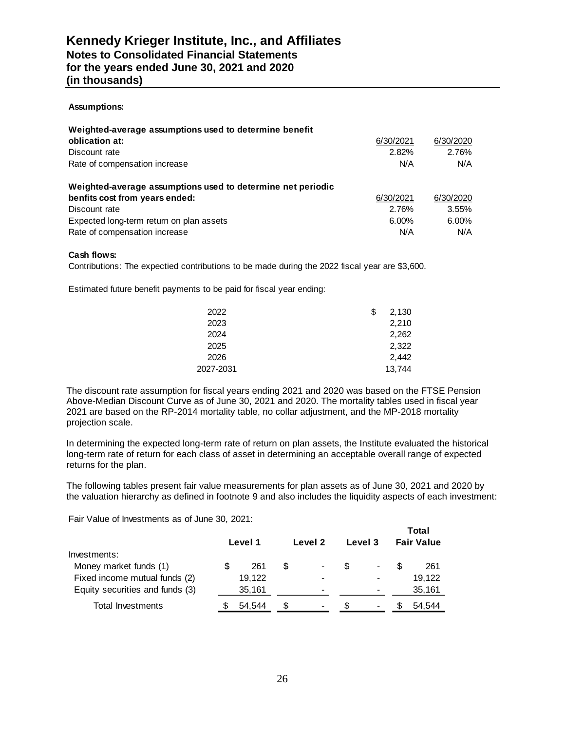### **Assumptions:**

| Weighted-average assumptions used to determine benefit      |           |           |
|-------------------------------------------------------------|-----------|-----------|
| oblication at:                                              | 6/30/2021 | 6/30/2020 |
| Discount rate                                               | 2.82%     | 2.76%     |
| Rate of compensation increase                               | N/A       | N/A       |
| Weighted-average assumptions used to determine net periodic |           |           |
| benfits cost from years ended:                              | 6/30/2021 | 6/30/2020 |
| Discount rate                                               | 2.76%     | 3.55%     |
| Expected long-term return on plan assets                    | $6.00\%$  | 6.00%     |
| Rate of compensation increase                               | N/A       | N/A       |

### **Cash flows:**

Contributions: The expectied contributions to be made during the 2022 fiscal year are \$3,600.

Estimated future benefit payments to be paid for fiscal year ending:

| 2022      | 2,130  |
|-----------|--------|
| 2023      | 2,210  |
| 2024      | 2,262  |
| 2025      | 2.322  |
| 2026      | 2,442  |
| 2027-2031 | 13.744 |
|           |        |

The discount rate assumption for fiscal years ending 2021 and 2020 was based on the FTSE Pension Above-Median Discount Curve as of June 30, 2021 and 2020. The mortality tables used in fiscal year 2021 are based on the RP-2014 mortality table, no collar adjustment, and the MP-2018 mortality projection scale.

In determining the expected long-term rate of return on plan assets, the Institute evaluated the historical long-term rate of return for each class of asset in determining an acceptable overall range of expected returns for the plan.

The following tables present fair value measurements for plan assets as of June 30, 2021 and 2020 by the valuation hierarchy as defined in footnote 9 and also includes the liquidity aspects of each investment:

Fair Value of Investments as of June 30, 2021:

|                                 | Level 1 |   | Level 2                  | Level 3 | Total<br><b>Fair Value</b> |
|---------------------------------|---------|---|--------------------------|---------|----------------------------|
| Investments:                    |         |   |                          |         |                            |
| Money market funds (1)          | 261     | S | $\blacksquare$           |         | 261                        |
| Fixed income mutual funds (2)   | 19,122  |   |                          |         | 19,122                     |
| Equity securities and funds (3) | 35,161  |   | $\overline{\phantom{a}}$ |         | 35,161                     |
| Total Investments               | 54.544  | S | $\blacksquare$           |         | 54.544                     |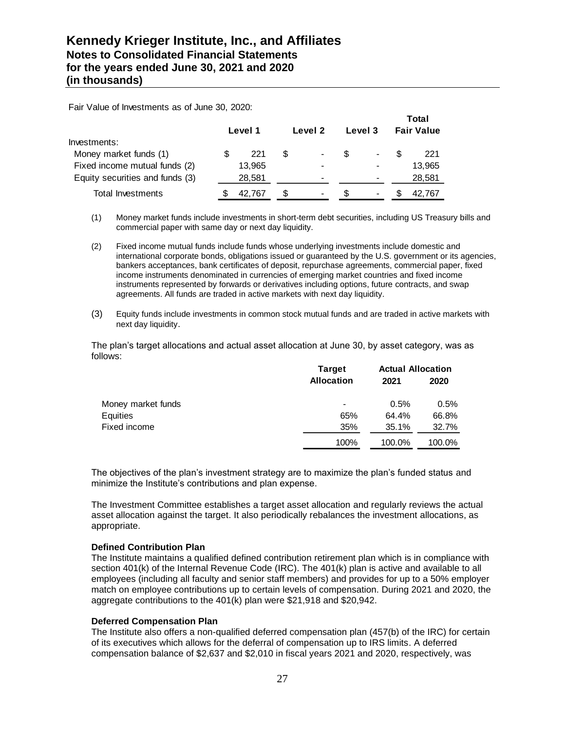Fair Value of Investments as of June 30, 2020:

|                                 | Level 1 |   | Level 2 | Level 3 |                          | Total<br><b>Fair Value</b> |
|---------------------------------|---------|---|---------|---------|--------------------------|----------------------------|
| Investments:                    |         |   |         |         |                          |                            |
| Money market funds (1)          | 221     | S |         |         | $\blacksquare$           | 221                        |
| Fixed income mutual funds (2)   | 13,965  |   | -       |         | -                        | 13,965                     |
| Equity securities and funds (3) | 28,581  |   | ۰       |         | $\,$                     | 28,581                     |
| Total Investments               | 42.767  |   | -       |         | $\overline{\phantom{a}}$ | 42.767                     |

(1) Money market funds include investments in short-term debt securities, including US Treasury bills and commercial paper with same day or next day liquidity.

(2) Fixed income mutual funds include funds whose underlying investments include domestic and international corporate bonds, obligations issued or guaranteed by the U.S. government or its agencies, bankers acceptances, bank certificates of deposit, repurchase agreements, commercial paper, fixed income instruments denominated in currencies of emerging market countries and fixed income instruments represented by forwards or derivatives including options, future contracts, and swap agreements. All funds are traded in active markets with next day liquidity.

(3) Equity funds include investments in common stock mutual funds and are traded in active markets with next day liquidity.

The plan's target allocations and actual asset allocation at June 30, by asset category, was as follows:

|                                                                                                                                                                                                                                                                                                                                                                                                                                                                                                                                                                             | Level 1          |    | Level <sub>2</sub> | Level 3 |        | Total<br><b>Fair Value</b> |
|-----------------------------------------------------------------------------------------------------------------------------------------------------------------------------------------------------------------------------------------------------------------------------------------------------------------------------------------------------------------------------------------------------------------------------------------------------------------------------------------------------------------------------------------------------------------------------|------------------|----|--------------------|---------|--------|----------------------------|
| ents:                                                                                                                                                                                                                                                                                                                                                                                                                                                                                                                                                                       |                  |    |                    |         |        |                            |
| market funds (1)                                                                                                                                                                                                                                                                                                                                                                                                                                                                                                                                                            | \$<br>221        | \$ |                    | \$      | \$     | 221                        |
| ncome mutual funds (2)<br>securities and funds (3)                                                                                                                                                                                                                                                                                                                                                                                                                                                                                                                          | 13,965<br>28,581 |    |                    |         |        | 13,965<br>28,581           |
|                                                                                                                                                                                                                                                                                                                                                                                                                                                                                                                                                                             |                  |    |                    |         |        |                            |
| tal Investments                                                                                                                                                                                                                                                                                                                                                                                                                                                                                                                                                             | \$<br>42,767     | \$ |                    | \$      | \$     | 42,767                     |
| Money market funds include investments in short-term debt securities, including US Treasury b<br>commercial paper with same day or next day liquidity.                                                                                                                                                                                                                                                                                                                                                                                                                      |                  |    |                    |         |        |                            |
| Fixed income mutual funds include funds whose underlying investments include domestic and<br>international corporate bonds, obligations issued or guaranteed by the U.S. government or its a<br>bankers acceptances, bank certificates of deposit, repurchase agreements, commercial paper,<br>income instruments denominated in currencies of emerging market countries and fixed income<br>instruments represented by forwards or derivatives including options, future contracts, and swa<br>agreements. All funds are traded in active markets with next day liquidity. |                  |    |                    |         |        |                            |
| Equity funds include investments in common stock mutual funds and are traded in active marke<br>next day liquidity.                                                                                                                                                                                                                                                                                                                                                                                                                                                         |                  |    |                    |         |        |                            |
| e plan's target allocations and actual asset allocation at June 30, by asset category, was<br>lows:                                                                                                                                                                                                                                                                                                                                                                                                                                                                         |                  |    |                    |         |        |                            |
|                                                                                                                                                                                                                                                                                                                                                                                                                                                                                                                                                                             |                  |    | <b>Target</b>      |         |        | <b>Actual Allocation</b>   |
|                                                                                                                                                                                                                                                                                                                                                                                                                                                                                                                                                                             |                  |    | <b>Allocation</b>  |         | 2021   | 2020                       |
| Money market funds                                                                                                                                                                                                                                                                                                                                                                                                                                                                                                                                                          |                  |    |                    |         | 0.5%   | 0.5%                       |
| Equities                                                                                                                                                                                                                                                                                                                                                                                                                                                                                                                                                                    |                  |    |                    | 65%     | 64.4%  | 66.8%                      |
| Fixed income                                                                                                                                                                                                                                                                                                                                                                                                                                                                                                                                                                |                  |    |                    | 35%     | 35.1%  | 32.7%                      |
|                                                                                                                                                                                                                                                                                                                                                                                                                                                                                                                                                                             |                  |    |                    | 100%    | 100.0% | 100.0%                     |
| e objectives of the plan's investment strategy are to maximize the plan's funded status ar<br>nimize the Institute's contributions and plan expense.                                                                                                                                                                                                                                                                                                                                                                                                                        |                  |    |                    |         |        |                            |
| e Investment Committee establishes a target asset allocation and regularly reviews the a<br>set allocation against the target. It also periodically rebalances the investment allocations<br>propriate.                                                                                                                                                                                                                                                                                                                                                                     |                  |    |                    |         |        |                            |
| fined Contribution Plan<br>e Institute maintains a qualified defined contribution retirement plan which is in compliand<br>ction 401(k) of the Internal Revenue Code (IRC). The 401(k) plan is active and available t<br>iployees (including all faculty and senior staff members) and provides for up to a 50% em<br>atch on employee contributions up to certain levels of compensation. During 2021 and 202<br>gregate contributions to the 401(k) plan were \$21,918 and \$20,942.                                                                                      |                  |    |                    |         |        |                            |
| ferred Compensation Plan<br>e Institute also offers a non-qualified deferred compensation plan (457(b) of the IRC) for o<br>its executives which allows for the deferral of compensation up to IRS limits. A deferred<br>mpensation balance of \$2,637 and \$2,010 in fiscal years 2021 and 2020, respectively, wa                                                                                                                                                                                                                                                          |                  |    |                    |         |        |                            |
|                                                                                                                                                                                                                                                                                                                                                                                                                                                                                                                                                                             |                  | 27 |                    |         |        |                            |

The objectives of the plan's investment strategy are to maximize the plan's funded status and minimize the Institute's contributions and plan expense.

The Investment Committee establishes a target asset allocation and regularly reviews the actual asset allocation against the target. It also periodically rebalances the investment allocations, as appropriate.

#### **Defined Contribution Plan**

The Institute maintains a qualified defined contribution retirement plan which is in compliance with section 401(k) of the Internal Revenue Code (IRC). The 401(k) plan is active and available to all employees (including all faculty and senior staff members) and provides for up to a 50% employer match on employee contributions up to certain levels of compensation. During 2021 and 2020, the aggregate contributions to the 401(k) plan were \$21,918 and \$20,942.

### **Deferred Compensation Plan**

The Institute also offers a non-qualified deferred compensation plan (457(b) of the IRC) for certain of its executives which allows for the deferral of compensation up to IRS limits. A deferred compensation balance of \$2,637 and \$2,010 in fiscal years 2021 and 2020, respectively, was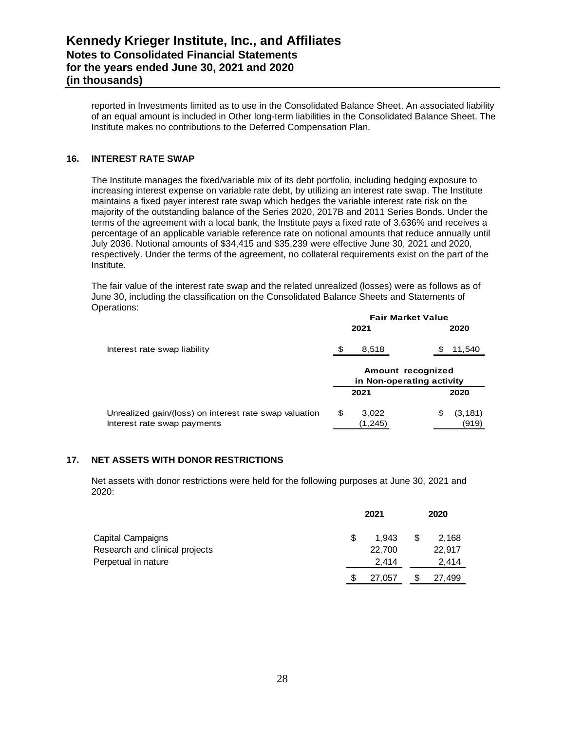reported in Investments limited as to use in the Consolidated Balance Sheet. An associated liability of an equal amount is included in Other long-term liabilities in the Consolidated Balance Sheet. The Institute makes no contributions to the Deferred Compensation Plan.

### **16. INTEREST RATE SWAP**

The Institute manages the fixed/variable mix of its debt portfolio, including hedging exposure to increasing interest expense on variable rate debt, by utilizing an interest rate swap. The Institute maintains a fixed payer interest rate swap which hedges the variable interest rate risk on the majority of the outstanding balance of the Series 2020, 2017B and 2011 Series Bonds. Under the terms of the agreement with a local bank, the Institute pays a fixed rate of 3.636% and receives a percentage of an applicable variable reference rate on notional amounts that reduce annually until July 2036. Notional amounts of \$34,415 and \$35,239 were effective June 30, 2021 and 2020, respectively. Under the terms of the agreement, no collateral requirements exist on the part of the Institute.

The fair value of the interest rate swap and the related unrealized (losses) were as follows as of June 30, including the classification on the Consolidated Balance Sheets and Statements of Operations:

|                                                                                       | <b>Fair Market Value</b>                       |                         |  |  |
|---------------------------------------------------------------------------------------|------------------------------------------------|-------------------------|--|--|
|                                                                                       | 2021                                           | 2020                    |  |  |
| Interest rate swap liability                                                          | \$<br>8,518                                    | \$<br>11,540            |  |  |
|                                                                                       | Amount recognized<br>in Non-operating activity |                         |  |  |
|                                                                                       | 2021                                           | 2020                    |  |  |
| Unrealized gain/(loss) on interest rate swap valuation<br>Interest rate swap payments | \$<br>3,022<br>(1, 245)                        | \$<br>(3, 181)<br>(919) |  |  |

# **17. NET ASSETS WITH DONOR RESTRICTIONS**

Net assets with donor restrictions were held for the following purposes at June 30, 2021 and 2020:

|                                |     | 2021   |   | 2020   |
|--------------------------------|-----|--------|---|--------|
| Capital Campaigns              | \$. | 1.943  | S | 2,168  |
| Research and clinical projects |     | 22,700 |   | 22.917 |
| Perpetual in nature            |     | 2.414  |   | 2.414  |
|                                | S   | 27,057 |   | 27.499 |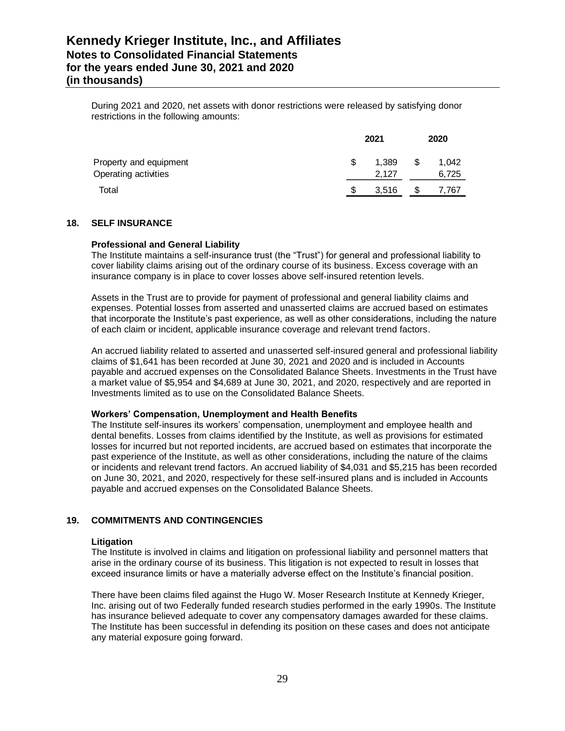During 2021 and 2020, net assets with donor restrictions were released by satisfying donor restrictions in the following amounts:

|                        |   | 2021  |     | 2020  |
|------------------------|---|-------|-----|-------|
| Property and equipment | S | 1.389 | \$. | 1,042 |
| Operating activities   |   | 2.127 |     | 6,725 |
| Total                  |   | 3.516 | \$  | 7,767 |

### **18. SELF INSURANCE**

### **Professional and General Liability**

The Institute maintains a self-insurance trust (the "Trust") for general and professional liability to cover liability claims arising out of the ordinary course of its business. Excess coverage with an insurance company is in place to cover losses above self-insured retention levels.

Assets in the Trust are to provide for payment of professional and general liability claims and expenses. Potential losses from asserted and unasserted claims are accrued based on estimates that incorporate the Institute's past experience, as well as other considerations, including the nature of each claim or incident, applicable insurance coverage and relevant trend factors.

An accrued liability related to asserted and unasserted self-insured general and professional liability claims of \$1,641 has been recorded at June 30, 2021 and 2020 and is included in Accounts payable and accrued expenses on the Consolidated Balance Sheets. Investments in the Trust have a market value of \$5,954 and \$4,689 at June 30, 2021, and 2020, respectively and are reported in Investments limited as to use on the Consolidated Balance Sheets.

### **Workers' Compensation, Unemployment and Health Benefits**

The Institute self-insures its workers' compensation, unemployment and employee health and dental benefits. Losses from claims identified by the Institute, as well as provisions for estimated losses for incurred but not reported incidents, are accrued based on estimates that incorporate the past experience of the Institute, as well as other considerations, including the nature of the claims or incidents and relevant trend factors. An accrued liability of \$4,031 and \$5,215 has been recorded on June 30, 2021, and 2020, respectively for these self-insured plans and is included in Accounts payable and accrued expenses on the Consolidated Balance Sheets.

# **19. COMMITMENTS AND CONTINGENCIES**

### **Litigation**

The Institute is involved in claims and litigation on professional liability and personnel matters that arise in the ordinary course of its business. This litigation is not expected to result in losses that exceed insurance limits or have a materially adverse effect on the Institute's financial position.

There have been claims filed against the Hugo W. Moser Research Institute at Kennedy Krieger, Inc. arising out of two Federally funded research studies performed in the early 1990s. The Institute has insurance believed adequate to cover any compensatory damages awarded for these claims. The Institute has been successful in defending its position on these cases and does not anticipate any material exposure going forward.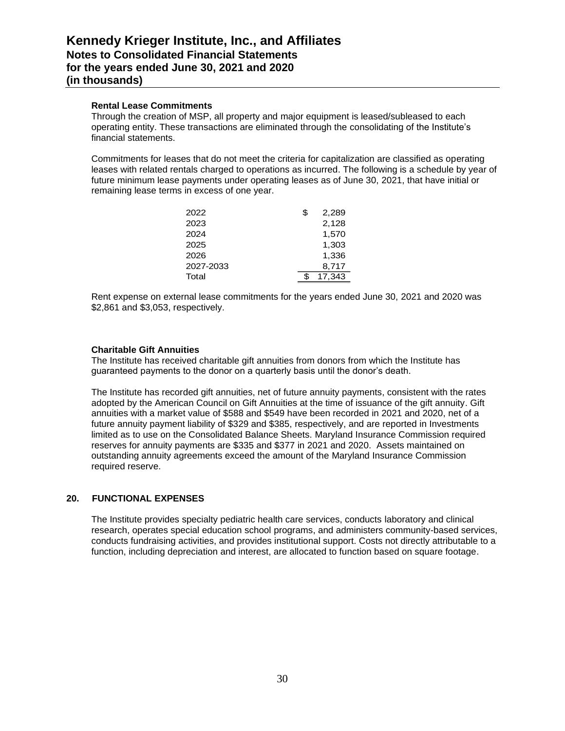### **Rental Lease Commitments**

Through the creation of MSP, all property and major equipment is leased/subleased to each operating entity. These transactions are eliminated through the consolidating of the Institute's financial statements.

Commitments for leases that do not meet the criteria for capitalization are classified as operating leases with related rentals charged to operations as incurred. The following is a schedule by year of future minimum lease payments under operating leases as of June 30, 2021, that have initial or remaining lease terms in excess of one year.

| 2022      | \$<br>2,289 |
|-----------|-------------|
| 2023      | 2,128       |
| 2024      | 1,570       |
| 2025      | 1,303       |
| 2026      | 1,336       |
| 2027-2033 | 8,717       |
| Total     | 17,343      |

Rent expense on external lease commitments for the years ended June 30, 2021 and 2020 was \$2,861 and \$3,053, respectively.

### **Charitable Gift Annuities**

The Institute has received charitable gift annuities from donors from which the Institute has guaranteed payments to the donor on a quarterly basis until the donor's death.

The Institute has recorded gift annuities, net of future annuity payments, consistent with the rates adopted by the American Council on Gift Annuities at the time of issuance of the gift annuity. Gift annuities with a market value of \$588 and \$549 have been recorded in 2021 and 2020, net of a future annuity payment liability of \$329 and \$385, respectively, and are reported in Investments limited as to use on the Consolidated Balance Sheets. Maryland Insurance Commission required reserves for annuity payments are \$335 and \$377 in 2021 and 2020. Assets maintained on outstanding annuity agreements exceed the amount of the Maryland Insurance Commission required reserve.

# **20. FUNCTIONAL EXPENSES**

The Institute provides specialty pediatric health care services, conducts laboratory and clinical research, operates special education school programs, and administers community-based services, conducts fundraising activities, and provides institutional support. Costs not directly attributable to a function, including depreciation and interest, are allocated to function based on square footage.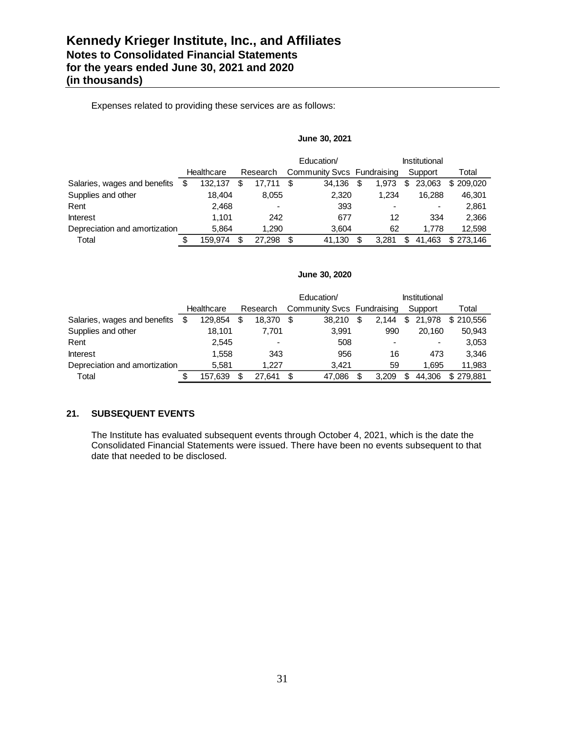### Expenses related to providing these services are as follows:

#### **June 30, 2021**

|                               |   |            |    |          |   | Education/                        |   |       | Institutional |           |
|-------------------------------|---|------------|----|----------|---|-----------------------------------|---|-------|---------------|-----------|
|                               |   | Healthcare |    | Research |   | <b>Community Svcs Fundraising</b> |   |       | Support       | Total     |
| Salaries, wages and benefits  | S | 132.137    | S  | 17.711   | S | 34.136                            |   | 1.973 | \$<br>23.063  | \$209,020 |
| Supplies and other            |   | 18.404     |    | 8.055    |   | 2.320                             |   | 1.234 | 16.288        | 46.301    |
| Rent                          |   | 2,468      |    |          |   | 393                               |   |       |               | 2,861     |
| <b>Interest</b>               |   | 1.101      |    | 242      |   | 677                               |   | 12    | 334           | 2.366     |
| Depreciation and amortization |   | 5.864      |    | 1.290    |   | 3.604                             |   | 62    | 1.778         | 12,598    |
| Total                         |   | 159.974    | S. | 27.298   | S | 41.130                            | S | 3.281 | 41.463        | \$273.146 |

#### **June 30, 2020**

|                               |   |            |          |        |   | Education/                 |   |       | Institutional |       |           |
|-------------------------------|---|------------|----------|--------|---|----------------------------|---|-------|---------------|-------|-----------|
|                               |   | Healthcare | Research |        |   | Community Svcs Fundraising |   |       | Support       | Total |           |
| Salaries, wages and benefits  | S | 129.854    | S        | 18.370 | S | 38.210                     | S | 2.144 | \$<br>21.978  |       | \$210.556 |
| Supplies and other            |   | 18.101     |          | 7.701  |   | 3.991                      |   | 990   | 20.160        |       | 50.943    |
| Rent                          |   | 2,545      |          | -      |   | 508                        |   |       |               |       | 3,053     |
| <b>Interest</b>               |   | 1.558      |          | 343    |   | 956                        |   | 16    | 473           |       | 3.346     |
| Depreciation and amortization |   | 5.581      |          | 1.227  |   | 3.421                      |   | 59    | 1.695         |       | 11,983    |
| Total                         |   | 157.639    | S        | 27.641 | S | 47.086                     | S | 3.209 | \$<br>44.306  |       | \$279.881 |

### **21. SUBSEQUENT EVENTS**

The Institute has evaluated subsequent events through October 4, 2021, which is the date the Consolidated Financial Statements were issued. There have been no events subsequent to that date that needed to be disclosed.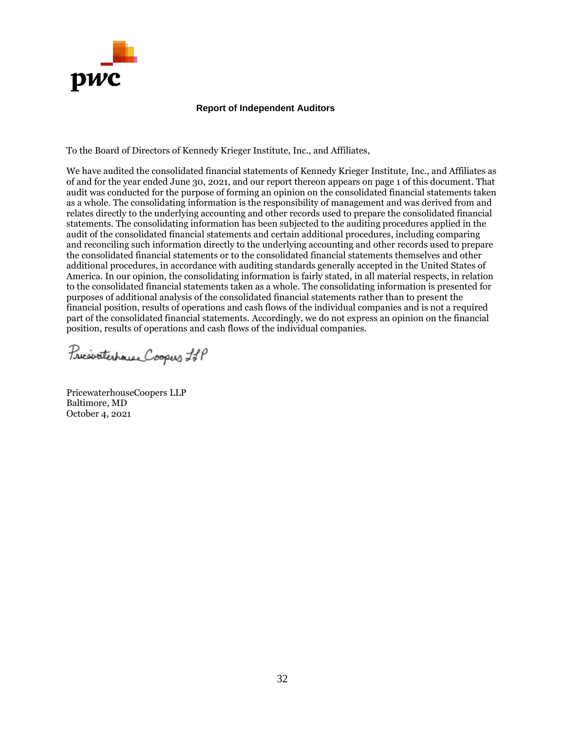

### **Report of Independent Auditors**

To the Board of Directors of Kennedy Krieger Institute, Inc., and Affiliates,

We have audited the consolidated financial statements of Kennedy Krieger Institute, Inc., and Affiliates as of and for the year ended June 30, 2021, and our report thereon appears on page 1 of this document. That audit was conducted for the purpose of forming an opinion on the consolidated financial statements taken as a whole. The consolidating information is the responsibility of management and was derived from and relates directly to the underlying accounting and other records used to prepare the consolidated financial statements. The consolidating information has been subjected to the auditing procedures applied in the audit of the consolidated financial statements and certain additional procedures, including comparing and reconciling such information directly to the underlying accounting and other records used to prepare the consolidated financial statements or to the consolidated financial statements themselves and other additional procedures, in accordance with auditing standards generally accepted in the United States of America. In our opinion, the consolidating information is fairly stated, in all material respects, in relation to the consolidated financial statements taken as a whole. The consolidating information is presented for purposes of additional analysis of the consolidated financial statements rather than to present the financial position, results of operations and cash flows of the individual companies and is not a required part of the consolidated financial statements. Accordingly, we do not express an opinion on the financial position, results of operations and cash flows of the individual companies.

Pricevaterhouse Coopers 22P

PricewaterhouseCoopers LLP Baltimore, MD October 4, 2021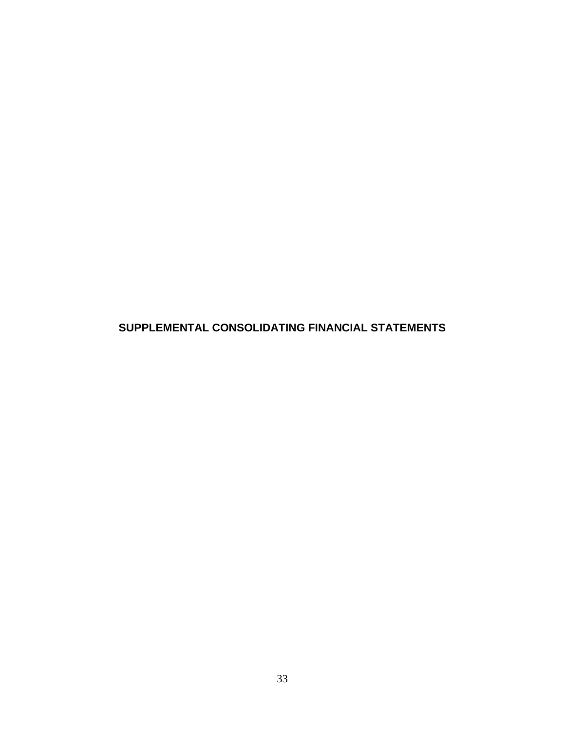**SUPPLEMENTAL CONSOLIDATING FINANCIAL STATEMENTS**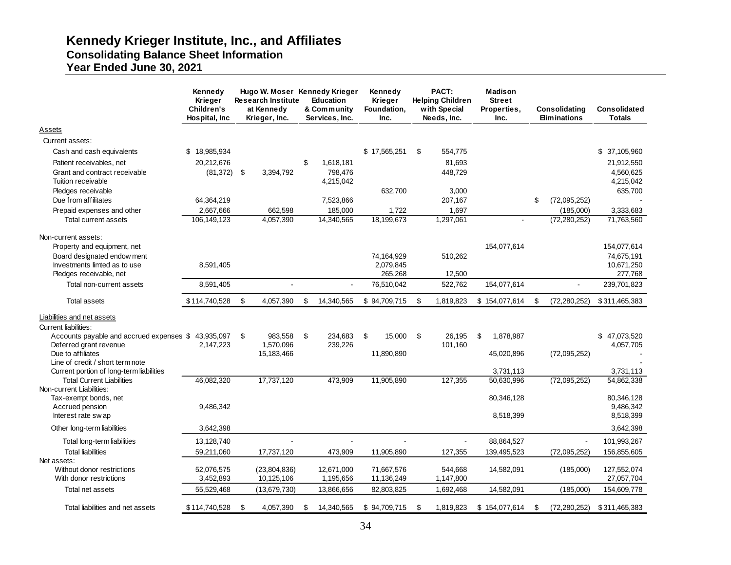# **Kennedy Krieger Institute, Inc., and Affiliates Consolidating Balance Sheet Information Year Ended June 30, 2021**

|                                                              | Kennedy<br>Krieger<br><b>Children's</b><br>Hospital, Inc. | Hugo W. Moser Kennedy Krieger<br><b>Research Institute</b><br>at Kennedv<br>Krieger, Inc. |      | <b>Education</b><br>& Community<br>Services, Inc. | Kennedv<br>Krieger<br>Foundation,<br>Inc. |      | PACT:<br><b>Helping Children</b><br>with Special<br>Needs, Inc. | <b>Madison</b><br><b>Street</b><br>Properties,<br>Inc. | <b>Consolidating</b><br><b>Eliminations</b> | Consolidated<br><b>Totals</b> |
|--------------------------------------------------------------|-----------------------------------------------------------|-------------------------------------------------------------------------------------------|------|---------------------------------------------------|-------------------------------------------|------|-----------------------------------------------------------------|--------------------------------------------------------|---------------------------------------------|-------------------------------|
| Assets                                                       |                                                           |                                                                                           |      |                                                   |                                           |      |                                                                 |                                                        |                                             |                               |
| Current assets:                                              |                                                           |                                                                                           |      |                                                   |                                           |      |                                                                 |                                                        |                                             |                               |
| Cash and cash equivalents                                    | \$18,985,934                                              |                                                                                           |      |                                                   | \$17,565,251                              | - \$ | 554,775                                                         |                                                        |                                             | \$ 37,105,960                 |
| Patient receivables, net                                     | 20,212,676                                                |                                                                                           | \$   | 1,618,181                                         |                                           |      | 81,693                                                          |                                                        |                                             | 21,912,550                    |
| Grant and contract receivable<br>Tuition receivable          | $(81,372)$ \$                                             | 3,394,792                                                                                 |      | 798,476<br>4,215,042                              |                                           |      | 448,729                                                         |                                                        |                                             | 4,560,625<br>4,215,042        |
| Pledges receivable                                           |                                                           |                                                                                           |      |                                                   | 632,700                                   |      | 3,000                                                           |                                                        |                                             | 635,700                       |
| Due from affilitates                                         | 64,364,219                                                |                                                                                           |      | 7,523,866                                         |                                           |      | 207,167                                                         |                                                        | \$<br>(72,095,252)                          |                               |
| Prepaid expenses and other                                   | 2,667,666                                                 | 662,598                                                                                   |      | 185,000                                           | 1,722                                     |      | 1,697                                                           |                                                        | (185,000)                                   | 3,333,683                     |
| Total current assets                                         | 106,149,123                                               | 4,057,390                                                                                 |      | 14,340,565                                        | 18,199,673                                |      | 1,297,061                                                       |                                                        | (72, 280, 252)                              | 71,763,560                    |
| Non-current assets:                                          |                                                           |                                                                                           |      |                                                   |                                           |      |                                                                 |                                                        |                                             |                               |
| Property and equipment, net                                  |                                                           |                                                                                           |      |                                                   |                                           |      |                                                                 | 154,077,614                                            |                                             | 154,077,614                   |
| Board designated endow ment                                  |                                                           |                                                                                           |      |                                                   | 74,164,929                                |      | 510,262                                                         |                                                        |                                             | 74,675,191                    |
| Investments limted as to use<br>Pledges receivable, net      | 8,591,405                                                 |                                                                                           |      |                                                   | 2,079,845<br>265,268                      |      | 12,500                                                          |                                                        |                                             | 10,671,250<br>277,768         |
| Total non-current assets                                     | 8,591,405                                                 |                                                                                           |      |                                                   | 76,510,042                                |      | 522,762                                                         | 154,077,614                                            | $\sim$                                      | 239,701,823                   |
| <b>Total assets</b>                                          | \$114,740,528                                             | \$<br>4,057,390                                                                           | \$   | 14,340,565                                        | \$94,709,715                              | -\$  | 1,819,823                                                       | \$154,077,614                                          | \$<br>(72, 280, 252)                        | \$311,465,383                 |
| Liabilities and net assets                                   |                                                           |                                                                                           |      |                                                   |                                           |      |                                                                 |                                                        |                                             |                               |
| Current liabilities:                                         |                                                           |                                                                                           |      |                                                   |                                           |      |                                                                 |                                                        |                                             |                               |
| Accounts payable and accrued expenses \$                     | 43,935,097                                                | \$<br>983,558                                                                             | - \$ | 234,683                                           | \$<br>15,000                              | -\$  | 26.195                                                          | \$<br>1,878,987                                        |                                             | \$47,073,520                  |
| Deferred grant revenue                                       | 2,147,223                                                 | 1,570,096                                                                                 |      | 239,226                                           |                                           |      | 101,160                                                         |                                                        |                                             | 4,057,705                     |
| Due to affiliates                                            |                                                           | 15,183,466                                                                                |      |                                                   | 11,890,890                                |      |                                                                 | 45,020,896                                             | (72,095,252)                                |                               |
| Line of credit / short term note                             |                                                           |                                                                                           |      |                                                   |                                           |      |                                                                 |                                                        |                                             |                               |
| Current portion of long-term liabilities                     |                                                           |                                                                                           |      |                                                   |                                           |      |                                                                 | 3,731,113                                              |                                             | 3,731,113                     |
| <b>Total Current Liabilities</b><br>Non-current Liabilities: | 46,082,320                                                | 17,737,120                                                                                |      | 473,909                                           | 11,905,890                                |      | 127,355                                                         | 50,630,996                                             | (72,095,252)                                | 54,862,338                    |
| Tax-exempt bonds, net                                        |                                                           |                                                                                           |      |                                                   |                                           |      |                                                                 | 80,346,128                                             |                                             | 80,346,128                    |
| Accrued pension                                              | 9,486,342                                                 |                                                                                           |      |                                                   |                                           |      |                                                                 |                                                        |                                             | 9,486,342                     |
| Interest rate swap                                           |                                                           |                                                                                           |      |                                                   |                                           |      |                                                                 | 8,518,399                                              |                                             | 8,518,399                     |
| Other long-term liabilities                                  | 3,642,398                                                 |                                                                                           |      |                                                   |                                           |      |                                                                 |                                                        |                                             | 3,642,398                     |
| Total long-term liabilities                                  | 13,128,740                                                |                                                                                           |      |                                                   |                                           |      |                                                                 | 88,864,527                                             |                                             | 101,993,267                   |
| <b>Total liabilities</b>                                     | 59,211,060                                                | 17,737,120                                                                                |      | 473,909                                           | 11,905,890                                |      | 127,355                                                         | 139,495,523                                            | (72,095,252)                                | 156,855,605                   |
| Net assets:                                                  |                                                           |                                                                                           |      |                                                   |                                           |      |                                                                 |                                                        |                                             |                               |
| Without donor restrictions                                   | 52,076,575                                                | (23,804,836)                                                                              |      | 12,671,000                                        | 71,667,576                                |      | 544,668                                                         | 14,582,091                                             | (185,000)                                   | 127,552,074                   |
| With donor restrictions                                      | 3,452,893                                                 | 10,125,106                                                                                |      | 1,195,656                                         | 11,136,249                                |      | 1,147,800                                                       |                                                        |                                             | 27,057,704                    |
| Total net assets                                             | 55,529,468                                                | (13,679,730)                                                                              |      | 13,866,656                                        | 82,803,825                                |      | 1,692,468                                                       | 14,582,091                                             | (185,000)                                   | 154,609,778                   |
| Total liabilities and net assets                             | \$114,740,528                                             | \$<br>4,057,390                                                                           | \$   | 14,340,565                                        | \$94,709,715                              | \$   | 1,819,823                                                       | \$154,077,614                                          | \$<br>(72, 280, 252)                        | \$311,465,383                 |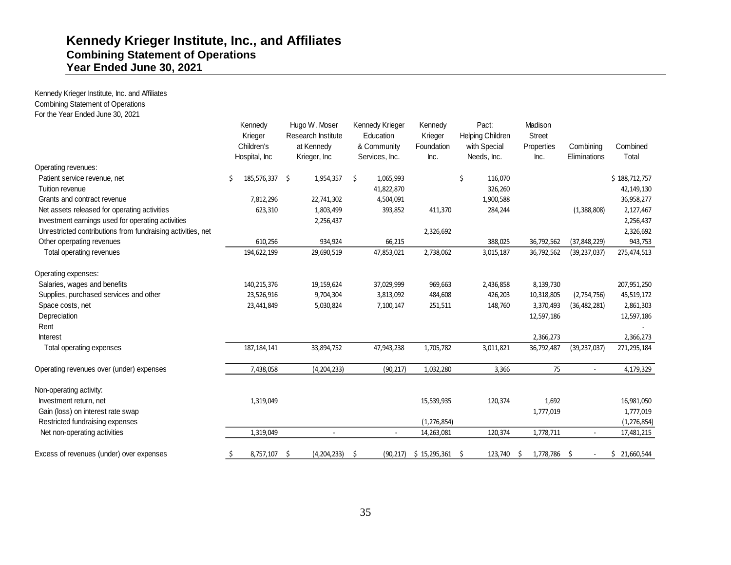# **Kennedy Krieger Institute, Inc., and Affiliates Combining Statement of Operations Year Ended June 30, 2021**

Kennedy Krieger Institute, Inc. and Affiliates Combining Statement of Operations For the Year Ended June 30, 2021

|                                                             | Kennedy<br>Krieger<br>Children's<br>Hospital, Inc |     | Hugo W. Moser<br>Research Institute<br>at Kennedy<br>Krieger, Inc. |     | Kennedy Krieger<br>Education<br>& Community<br>Services, Inc. | Kennedy<br>Krieger<br>Foundation<br>Inc. | Pact:<br>Helping Children<br>with Special<br>Needs, Inc. | Madison<br><b>Street</b><br>Properties<br>Inc. | Combining<br>Eliminations | Combined<br>Total |
|-------------------------------------------------------------|---------------------------------------------------|-----|--------------------------------------------------------------------|-----|---------------------------------------------------------------|------------------------------------------|----------------------------------------------------------|------------------------------------------------|---------------------------|-------------------|
| Operating revenues:                                         |                                                   |     |                                                                    |     |                                                               |                                          |                                                          |                                                |                           |                   |
| Patient service revenue, net                                | 185,576,337 \$<br>Ś                               |     | 1,954,357                                                          | \$  | 1,065,993                                                     |                                          | \$<br>116,070                                            |                                                |                           | \$188,712,757     |
| Tuition revenue                                             |                                                   |     |                                                                    |     | 41,822,870                                                    |                                          | 326,260                                                  |                                                |                           | 42,149,130        |
| Grants and contract revenue                                 | 7,812,296                                         |     | 22,741,302                                                         |     | 4,504,091                                                     |                                          | 1,900,588                                                |                                                |                           | 36,958,277        |
| Net assets released for operating activities                | 623,310                                           |     | 1,803,499                                                          |     | 393,852                                                       | 411,370                                  | 284,244                                                  |                                                | (1,388,808)               | 2,127,467         |
| Investment earnings used for operating activities           |                                                   |     | 2,256,437                                                          |     |                                                               |                                          |                                                          |                                                |                           | 2,256,437         |
| Unrestricted contributions from fundraising activities, net |                                                   |     |                                                                    |     |                                                               | 2,326,692                                |                                                          |                                                |                           | 2,326,692         |
| Other operpating revenues                                   | 610,256                                           |     | 934,924                                                            |     | 66,215                                                        |                                          | 388,025                                                  | 36,792,562                                     | (37, 848, 229)            | 943,753           |
| Total operating revenues                                    | 194,622,199                                       |     | 29,690,519                                                         |     | 47,853,021                                                    | 2,738,062                                | 3,015,187                                                | 36,792,562                                     | (39, 237, 037)            | 275,474,513       |
| Operating expenses:                                         |                                                   |     |                                                                    |     |                                                               |                                          |                                                          |                                                |                           |                   |
| Salaries, wages and benefits                                | 140, 215, 376                                     |     | 19,159,624                                                         |     | 37,029,999                                                    | 969,663                                  | 2,436,858                                                | 8,139,730                                      |                           | 207,951,250       |
| Supplies, purchased services and other                      | 23,526,916                                        |     | 9,704,304                                                          |     | 3,813,092                                                     | 484,608                                  | 426,203                                                  | 10,318,805                                     | (2,754,756)               | 45,519,172        |
| Space costs, net                                            | 23,441,849                                        |     | 5,030,824                                                          |     | 7,100,147                                                     | 251,511                                  | 148,760                                                  | 3,370,493                                      | (36, 482, 281)            | 2,861,303         |
| Depreciation                                                |                                                   |     |                                                                    |     |                                                               |                                          |                                                          | 12,597,186                                     |                           | 12,597,186        |
| Rent                                                        |                                                   |     |                                                                    |     |                                                               |                                          |                                                          |                                                |                           |                   |
| Interest                                                    |                                                   |     |                                                                    |     |                                                               |                                          |                                                          | 2,366,273                                      |                           | 2,366,273         |
| Total operating expenses                                    | 187, 184, 141                                     |     | 33,894,752                                                         |     | 47,943,238                                                    | 1,705,782                                | 3,011,821                                                | 36,792,487                                     | (39, 237, 037)            | 271,295,184       |
| Operating revenues over (under) expenses                    | 7,438,058                                         |     | (4,204,233)                                                        |     | (90, 217)                                                     | 1,032,280                                | 3,366                                                    | 75                                             | $\sim$                    | 4,179,329         |
| Non-operating activity:                                     |                                                   |     |                                                                    |     |                                                               |                                          |                                                          |                                                |                           |                   |
| Investment return, net                                      | 1,319,049                                         |     |                                                                    |     |                                                               | 15,539,935                               | 120,374                                                  | 1,692                                          |                           | 16,981,050        |
| Gain (loss) on interest rate swap                           |                                                   |     |                                                                    |     |                                                               |                                          |                                                          | 1,777,019                                      |                           | 1,777,019         |
| Restricted fundraising expenses                             |                                                   |     |                                                                    |     |                                                               | (1, 276, 854)                            |                                                          |                                                |                           | (1, 276, 854)     |
| Net non-operating activities                                | 1,319,049                                         |     |                                                                    |     | $\overline{a}$                                                | 14,263,081                               | 120,374                                                  | 1,778,711                                      |                           | 17,481,215        |
| Excess of revenues (under) over expenses                    | 8,757,107<br>\$                                   | -\$ | (4, 204, 233)                                                      | -\$ | (90, 217)                                                     | \$15,295,361                             | 123,740<br>Ŝ.                                            | 1,778,786<br>S                                 | Ŝ.                        | \$21,660,544      |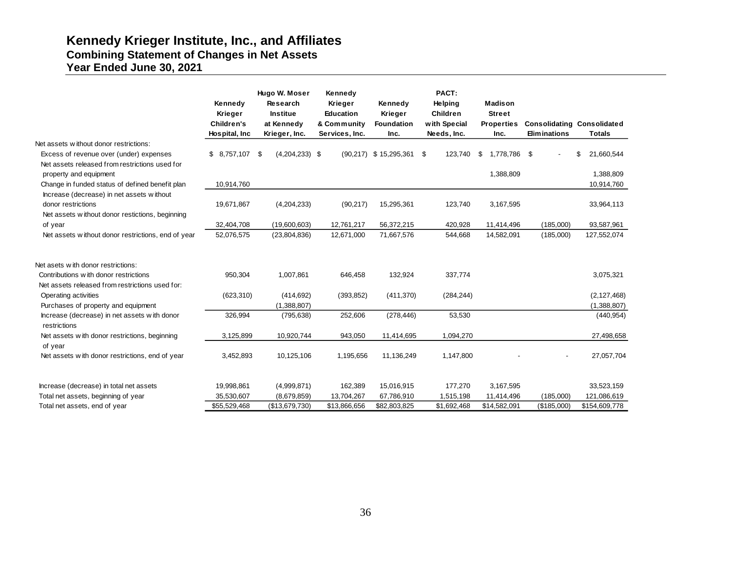# **Kennedy Krieger Institute, Inc., and Affiliates Combining Statement of Changes in Net Assets Year Ended June 30, 2021**

|                                                                                           | Kennedy<br>Krieger<br>Children's<br>Hospital, Inc. | Hugo W. Moser<br>Research<br><b>Institue</b><br>at Kennedy<br>Krieger, Inc. | Kennedy<br>Krieger<br>Education<br>& Community<br>Services, Inc. | Kennedy<br>Krieger<br><b>Foundation</b><br>Inc. | PACT:<br>Helping<br><b>Children</b><br>with Special<br>Needs, Inc. | <b>Madison</b><br><b>Street</b><br><b>Properties</b><br>Inc. | <b>Consolidating Consolidated</b><br><b>Eliminations</b> | <b>Totals</b> |
|-------------------------------------------------------------------------------------------|----------------------------------------------------|-----------------------------------------------------------------------------|------------------------------------------------------------------|-------------------------------------------------|--------------------------------------------------------------------|--------------------------------------------------------------|----------------------------------------------------------|---------------|
| Net assets without donor restrictions:                                                    |                                                    |                                                                             |                                                                  |                                                 |                                                                    |                                                              |                                                          |               |
| Excess of revenue over (under) expenses<br>Net assets released from restrictions used for | 8,757,107<br>\$                                    | \$<br>$(4,204,233)$ \$                                                      |                                                                  | $(90,217)$ \$ 15,295,361                        | -\$<br>123,740                                                     | \$<br>1,778,786                                              | -\$                                                      | 21,660,544    |
| property and equipment                                                                    |                                                    |                                                                             |                                                                  |                                                 |                                                                    | 1,388,809                                                    |                                                          | 1,388,809     |
| Change in funded status of defined benefit plan                                           | 10,914,760                                         |                                                                             |                                                                  |                                                 |                                                                    |                                                              |                                                          | 10,914,760    |
| Increase (decrease) in net assets without                                                 |                                                    |                                                                             |                                                                  |                                                 |                                                                    |                                                              |                                                          |               |
| donor restrictions                                                                        | 19,671,867                                         | (4,204,233)                                                                 | (90, 217)                                                        | 15,295,361                                      | 123,740                                                            | 3,167,595                                                    |                                                          | 33,964,113    |
| Net assets without donor restictions, beginning                                           |                                                    |                                                                             |                                                                  |                                                 |                                                                    |                                                              |                                                          |               |
| of year                                                                                   | 32,404,708                                         | (19,600,603)                                                                | 12,761,217                                                       | 56,372,215                                      | 420,928                                                            | 11,414,496                                                   | (185,000)                                                | 93,587,961    |
| Net assets without donor restrictions, end of year                                        | 52,076,575                                         | (23,804,836)                                                                | 12,671,000                                                       | 71,667,576                                      | 544,668                                                            | 14,582,091                                                   | (185,000)                                                | 127,552,074   |
| Net asets with donor restrictions:                                                        |                                                    |                                                                             |                                                                  |                                                 |                                                                    |                                                              |                                                          |               |
| Contributions w ith donor restrictions                                                    | 950,304                                            | 1,007,861                                                                   | 646,458                                                          | 132,924                                         | 337,774                                                            |                                                              |                                                          | 3,075,321     |
| Net assets released from restrictions used for:                                           |                                                    |                                                                             |                                                                  |                                                 |                                                                    |                                                              |                                                          |               |
| Operating activities                                                                      | (623, 310)                                         | (414, 692)                                                                  | (393, 852)                                                       | (411, 370)                                      | (284, 244)                                                         |                                                              |                                                          | (2, 127, 468) |
| Purchases of property and equipment                                                       |                                                    | (1,388,807)                                                                 |                                                                  |                                                 |                                                                    |                                                              |                                                          | (1,388,807)   |
| Increase (decrease) in net assets with donor<br>restrictions                              | 326,994                                            | (795, 638)                                                                  | 252,606                                                          | (278, 446)                                      | 53,530                                                             |                                                              |                                                          | (440, 954)    |
| Net assets with donor restrictions, beginning                                             | 3,125,899                                          | 10,920,744                                                                  | 943,050                                                          | 11,414,695                                      | 1,094,270                                                          |                                                              |                                                          | 27,498,658    |
| of year                                                                                   |                                                    |                                                                             |                                                                  |                                                 |                                                                    |                                                              |                                                          |               |
| Net assets with donor restrictions, end of year                                           | 3,452,893                                          | 10,125,106                                                                  | 1,195,656                                                        | 11,136,249                                      | 1,147,800                                                          |                                                              |                                                          | 27,057,704    |
| Increase (decrease) in total net assets                                                   | 19,998,861                                         | (4,999,871)                                                                 | 162,389                                                          | 15,016,915                                      | 177,270                                                            | 3,167,595                                                    |                                                          | 33,523,159    |
| Total net assets, beginning of year                                                       | 35,530,607                                         | (8,679,859)                                                                 | 13,704,267                                                       | 67,786,910                                      | 1,515,198                                                          | 11,414,496                                                   | (185,000)                                                | 121,086,619   |
| Total net assets, end of year                                                             | \$55,529,468                                       | (\$13,679,730)                                                              | \$13,866,656                                                     | \$82,803,825                                    | \$1,692,468                                                        | \$14,582,091                                                 | (\$185,000)                                              | \$154,609,778 |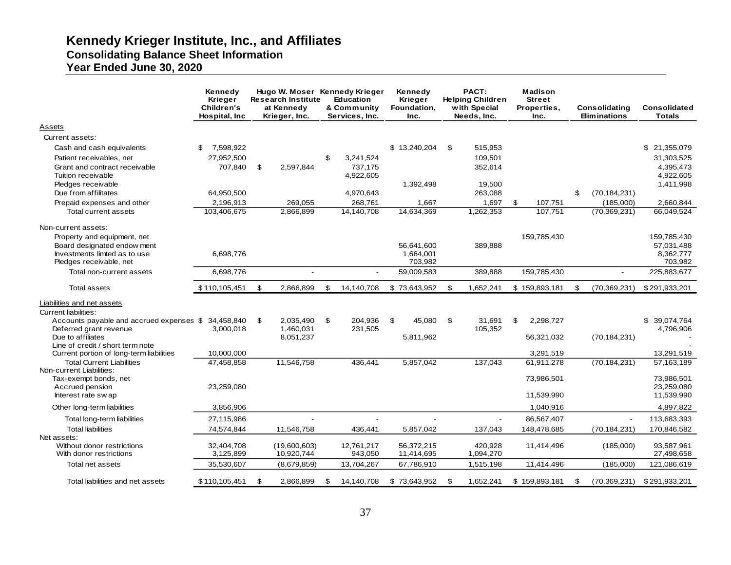# **Kennedy Krieger Institute, Inc., and Affiliates Consolidating Balance Sheet Information Year Ended June 30, 2020**

|                                                       | Kennedy<br>Krieger<br>Children's<br>Hospital, Inc | Hugo W. Moser Kennedy Krieger<br><b>Research Institute</b><br>at Kennedy<br>Krieger, Inc. | <b>Education</b><br>& Community<br>Services, Inc. | Kennedy<br>Krieger<br>Foundation,<br>Inc. | PACT:<br><b>Helping Children</b><br>with Special<br>Needs, Inc. |    | <b>Madison</b><br><b>Street</b><br>Properties,<br>Inc. | Consolidating<br><b>Eliminations</b> | Consolidated<br><b>Totals</b> |
|-------------------------------------------------------|---------------------------------------------------|-------------------------------------------------------------------------------------------|---------------------------------------------------|-------------------------------------------|-----------------------------------------------------------------|----|--------------------------------------------------------|--------------------------------------|-------------------------------|
| Assets                                                |                                                   |                                                                                           |                                                   |                                           |                                                                 |    |                                                        |                                      |                               |
| Current assets:                                       |                                                   |                                                                                           |                                                   |                                           |                                                                 |    |                                                        |                                      |                               |
| Cash and cash equivalents                             | 7,598,922<br>S                                    |                                                                                           |                                                   | \$13,240,204                              | \$<br>515,953                                                   |    |                                                        |                                      | \$21,355,079                  |
| Patient receivables, net                              | 27,952,500                                        |                                                                                           | \$<br>3,241,524                                   |                                           | 109,501                                                         |    |                                                        |                                      | 31,303,525                    |
| Grant and contract receivable                         | 707,840                                           | \$<br>2,597,844                                                                           | 737,175                                           |                                           | 352,614                                                         |    |                                                        |                                      | 4,395,473                     |
| Tuition receivable                                    |                                                   |                                                                                           | 4,922,605                                         |                                           |                                                                 |    |                                                        |                                      | 4,922,605                     |
| Pledges receivable                                    |                                                   |                                                                                           |                                                   | 1,392,498                                 | 19,500                                                          |    |                                                        |                                      | 1,411,998                     |
| Due from affilitates                                  | 64,950,500                                        |                                                                                           | 4,970,643                                         |                                           | 263,088                                                         |    |                                                        | \$<br>(70, 184, 231)                 |                               |
| Prepaid expenses and other                            | 2,196,913                                         | 269,055                                                                                   | 268,761                                           | 1,667                                     | 1,697                                                           | S. | 107,751                                                | (185,000)                            | 2,660,844                     |
| Total current assets                                  | 103,406,675                                       | 2,866,899                                                                                 | 14,140,708                                        | 14,634,369                                | 1,262,353                                                       |    | 107,751                                                | (70, 369, 231)                       | 66,049,524                    |
| Non-current assets:                                   |                                                   |                                                                                           |                                                   |                                           |                                                                 |    |                                                        |                                      |                               |
| Property and equipment, net                           |                                                   |                                                                                           |                                                   |                                           |                                                                 |    | 159,785,430                                            |                                      | 159,785,430                   |
| Board designated endow ment                           |                                                   |                                                                                           |                                                   | 56,641,600                                | 389,888                                                         |    |                                                        |                                      | 57,031,488                    |
| Investments limted as to use                          | 6,698,776                                         |                                                                                           |                                                   | 1,664,001                                 |                                                                 |    |                                                        |                                      | 8,362,777                     |
| Pledges receivable, net                               |                                                   |                                                                                           |                                                   | 703,982                                   |                                                                 |    |                                                        |                                      | 703,982                       |
| Total non-current assets                              | 6,698,776                                         |                                                                                           |                                                   | 59,009,583                                | 389,888                                                         |    | 159,785,430                                            |                                      | 225,883,677                   |
| <b>Total assets</b>                                   | \$110,105,451                                     | \$<br>2,866,899                                                                           | \$<br>14,140,708                                  | \$73,643,952                              | \$<br>1,652,241                                                 |    | \$159,893,181                                          | \$<br>(70, 369, 231)                 | \$291,933,201                 |
| Liabilities and net assets<br>Current liabilities:    |                                                   |                                                                                           |                                                   |                                           |                                                                 |    |                                                        |                                      |                               |
| Accounts payable and accrued expenses \$              | 34,458,840                                        | \$<br>2,035,490                                                                           | \$<br>204,936                                     | \$<br>45,080                              | \$<br>31,691                                                    | \$ | 2,298,727                                              |                                      | \$ 39,074,764                 |
| Deferred grant revenue                                | 3,000,018                                         | 1,460,031                                                                                 | 231,505                                           |                                           | 105,352                                                         |    |                                                        |                                      | 4,796,906                     |
| Due to affiliates<br>Line of credit / short term note |                                                   | 8,051,237                                                                                 |                                                   | 5,811,962                                 |                                                                 |    | 56,321,032                                             | (70, 184, 231)                       |                               |
| Current portion of long-term liabilities              | 10,000,000                                        |                                                                                           |                                                   |                                           |                                                                 |    | 3,291,519                                              |                                      | 13,291,519                    |
| <b>Total Current Liabilities</b>                      | 47,458,858                                        | 11,546,758                                                                                | 436,441                                           | 5,857,042                                 | 137,043                                                         |    | 61,911,278                                             | (70, 184, 231)                       | 57,163,189                    |
| Non-current Liabilities:                              |                                                   |                                                                                           |                                                   |                                           |                                                                 |    |                                                        |                                      |                               |
| Tax-exempt bonds, net                                 |                                                   |                                                                                           |                                                   |                                           |                                                                 |    | 73,986,501                                             |                                      | 73.986.501                    |
| Accrued pension<br>Interest rate swap                 | 23,259,080                                        |                                                                                           |                                                   |                                           |                                                                 |    | 11,539,990                                             |                                      | 23,259,080<br>11,539,990      |
| Other long-term liabilities                           | 3,856,906                                         |                                                                                           |                                                   |                                           |                                                                 |    | 1,040,916                                              |                                      | 4,897,822                     |
| Total long-term liabilities                           | 27,115,986                                        |                                                                                           |                                                   |                                           |                                                                 |    | 86,567,407                                             |                                      | 113,683,393                   |
| <b>Total liabilities</b>                              | 74,574,844                                        | 11,546,758                                                                                | 436,441                                           | 5,857,042                                 | 137,043                                                         |    | 148,478,685                                            | (70, 184, 231)                       | 170,846,582                   |
| Net assets:                                           |                                                   |                                                                                           |                                                   |                                           |                                                                 |    |                                                        |                                      |                               |
| Without donor restrictions                            | 32,404,708                                        | (19,600,603)                                                                              | 12,761,217                                        | 56,372,215                                | 420,928                                                         |    | 11,414,496                                             | (185,000)                            | 93,587,961                    |
| With donor restrictions                               | 3,125,899                                         | 10,920,744                                                                                | 943,050                                           | 11,414,695                                | 1,094,270                                                       |    |                                                        |                                      | 27,498,658                    |
| Total net assets                                      | 35,530,607                                        | (8,679,859)                                                                               | 13,704,267                                        | 67,786,910                                | 1,515,198                                                       |    | 11,414,496                                             | (185,000)                            | 121,086,619                   |
| Total liabilities and net assets                      | \$110,105,451                                     | \$<br>2,866,899                                                                           | \$<br>14,140,708                                  | \$73,643,952                              | \$<br>1,652,241                                                 |    | \$159,893,181                                          | \$<br>(70, 369, 231)                 | \$291,933,201                 |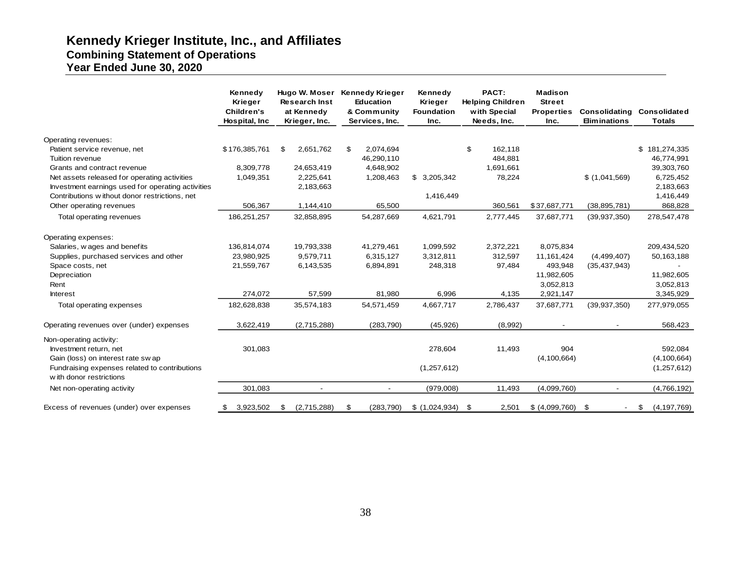# **Kennedy Krieger Institute, Inc., and Affiliates Combining Statement of Operations Year Ended June 30, 2020**

|                                                                           | Kennedy<br>Krieger | Hugo W. Moser<br><b>Research Inst</b><br>at Kennedy |               | <b>Children's</b> |                          |                   |    | <b>Kennedy Krieger</b><br><b>Education</b><br>& Community |                      | Kennedy<br>Krieger<br><b>Foundation</b> | PACT:<br><b>Helping Children</b><br>with Special |  | <b>Madison</b><br><b>Street</b><br><b>Properties</b> | <b>Consolidating Consolidated</b> |  |
|---------------------------------------------------------------------------|--------------------|-----------------------------------------------------|---------------|-------------------|--------------------------|-------------------|----|-----------------------------------------------------------|----------------------|-----------------------------------------|--------------------------------------------------|--|------------------------------------------------------|-----------------------------------|--|
|                                                                           | Hospital, Inc.     |                                                     | Krieger, Inc. |                   | Services, Inc.           | Inc.              |    | Needs, Inc.                                               | Inc.                 | <b>Eliminations</b>                     | <b>Totals</b>                                    |  |                                                      |                                   |  |
|                                                                           |                    |                                                     |               |                   |                          |                   |    |                                                           |                      |                                         |                                                  |  |                                                      |                                   |  |
| Operating revenues:                                                       |                    |                                                     |               |                   |                          |                   |    |                                                           |                      |                                         |                                                  |  |                                                      |                                   |  |
| Patient service revenue, net                                              | \$176,385,761      | S                                                   | 2,651,762     | \$                | 2,074,694                |                   | \$ | 162,118                                                   |                      |                                         | \$181,274,335                                    |  |                                                      |                                   |  |
| Tuition revenue                                                           |                    |                                                     |               |                   | 46,290,110               |                   |    | 484,881                                                   |                      |                                         | 46,774,991                                       |  |                                                      |                                   |  |
| Grants and contract revenue                                               | 8,309,778          |                                                     | 24,653,419    |                   | 4,648,902                |                   |    | 1,691,661                                                 |                      |                                         | 39,303,760                                       |  |                                                      |                                   |  |
| Net assets released for operating activities                              | 1,049,351          |                                                     | 2,225,641     |                   | 1,208,463                | \$3,205,342       |    | 78,224                                                    |                      | \$(1,041,569)                           | 6,725,452                                        |  |                                                      |                                   |  |
| Investment earnings used for operating activities                         |                    |                                                     | 2,183,663     |                   |                          |                   |    |                                                           |                      |                                         | 2,183,663                                        |  |                                                      |                                   |  |
| Contributions w ithout donor restrictions, net                            |                    |                                                     |               |                   |                          | 1,416,449         |    |                                                           |                      |                                         | 1,416,449                                        |  |                                                      |                                   |  |
| Other operating revenues                                                  | 506,367            |                                                     | 1,144,410     |                   | 65,500                   |                   |    | 360,561                                                   | \$37,687,771         | (38, 895, 781)                          | 868,828                                          |  |                                                      |                                   |  |
| Total operating revenues                                                  | 186,251,257        |                                                     | 32,858,895    |                   | 54,287,669               | 4,621,791         |    | 2,777,445                                                 | 37,687,771           | (39,937,350)                            | 278,547,478                                      |  |                                                      |                                   |  |
| Operating expenses:                                                       |                    |                                                     |               |                   |                          |                   |    |                                                           |                      |                                         |                                                  |  |                                                      |                                   |  |
| Salaries, w ages and benefits                                             | 136,814,074        |                                                     | 19,793,338    |                   | 41,279,461               | 1,099,592         |    | 2,372,221                                                 | 8,075,834            |                                         | 209,434,520                                      |  |                                                      |                                   |  |
| Supplies, purchased services and other                                    | 23,980,925         |                                                     | 9,579,711     |                   | 6,315,127                | 3,312,811         |    | 312,597                                                   | 11,161,424           | (4,499,407)                             | 50,163,188                                       |  |                                                      |                                   |  |
| Space costs, net                                                          | 21,559,767         |                                                     | 6,143,535     |                   | 6,894,891                | 248,318           |    | 97,484                                                    | 493,948              | (35, 437, 943)                          |                                                  |  |                                                      |                                   |  |
| Depreciation                                                              |                    |                                                     |               |                   |                          |                   |    |                                                           | 11,982,605           |                                         | 11,982,605                                       |  |                                                      |                                   |  |
| Rent                                                                      |                    |                                                     |               |                   |                          |                   |    |                                                           | 3,052,813            |                                         | 3,052,813                                        |  |                                                      |                                   |  |
| <b>Interest</b>                                                           | 274,072            |                                                     | 57,599        |                   | 81,980                   | 6,996             |    | 4,135                                                     | 2,921,147            |                                         | 3,345,929                                        |  |                                                      |                                   |  |
| Total operating expenses                                                  | 182,628,838        |                                                     | 35,574,183    |                   | 54,571,459               | 4,667,717         |    | 2,786,437                                                 | 37,687,771           | (39, 937, 350)                          | 277,979,055                                      |  |                                                      |                                   |  |
| Operating revenues over (under) expenses                                  | 3,622,419          |                                                     | (2,715,288)   |                   | (283, 790)               | (45, 926)         |    | (8,992)                                                   |                      |                                         | 568,423                                          |  |                                                      |                                   |  |
| Non-operating activity:                                                   |                    |                                                     |               |                   |                          |                   |    |                                                           |                      |                                         |                                                  |  |                                                      |                                   |  |
| Investment return, net                                                    | 301,083            |                                                     |               |                   |                          | 278,604           |    | 11,493                                                    | 904                  |                                         | 592,084                                          |  |                                                      |                                   |  |
| Gain (loss) on interest rate sw ap                                        |                    |                                                     |               |                   |                          |                   |    |                                                           | (4, 100, 664)        |                                         | (4, 100, 664)                                    |  |                                                      |                                   |  |
| Fundraising expenses related to contributions<br>w ith donor restrictions |                    |                                                     |               |                   |                          | (1,257,612)       |    |                                                           |                      |                                         | (1,257,612)                                      |  |                                                      |                                   |  |
| Net non-operating activity                                                | 301,083            |                                                     |               |                   | $\overline{\phantom{a}}$ | (979,008)         |    | 11,493                                                    | (4,099,760)          |                                         | (4,766,192)                                      |  |                                                      |                                   |  |
| Excess of revenues (under) over expenses                                  | 3,923,502<br>\$    | \$                                                  | (2,715,288)   | \$                | (283,790)                | $$(1,024,934)$ \; |    | 2,501                                                     | $$ (4,099,760)$ \ \$ |                                         | (4, 197, 769)<br>\$                              |  |                                                      |                                   |  |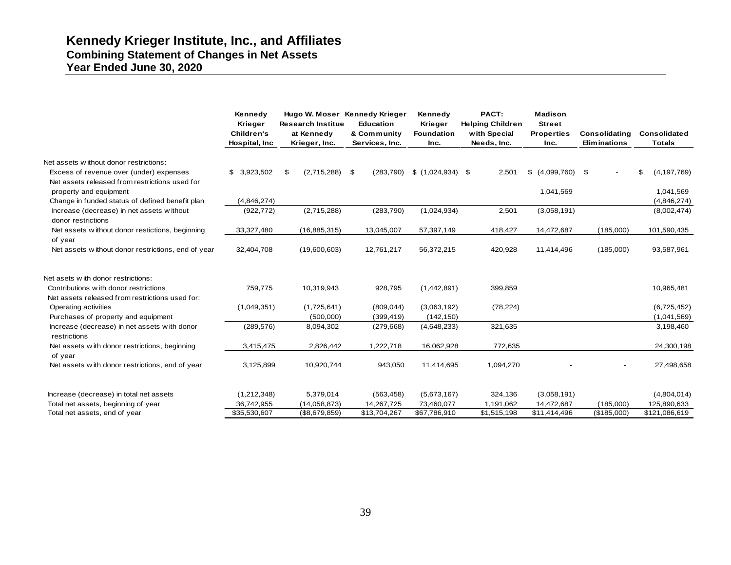# **Kennedy Krieger Institute, Inc., and Affiliates Combining Statement of Changes in Net Assets Year Ended June 30, 2020**

|                                                                                           | Kennedy<br>Krieger<br>Children's<br>Hospital, Inc. | <b>Research Institue</b><br>at Kennedy<br>Krieger, Inc. | Hugo W. Moser Kennedy Krieger<br><b>Education</b><br>& Community<br>Services, Inc. | Kennedy<br>Krieger<br><b>Foundation</b><br>Inc. | PACT:<br><b>Helping Children</b><br>with Special<br>Needs, Inc. | <b>Madison</b><br><b>Street</b><br><b>Properties</b><br>Inc. | Consolidating<br><b>Eliminations</b> | Consolidated<br><b>Totals</b> |
|-------------------------------------------------------------------------------------------|----------------------------------------------------|---------------------------------------------------------|------------------------------------------------------------------------------------|-------------------------------------------------|-----------------------------------------------------------------|--------------------------------------------------------------|--------------------------------------|-------------------------------|
| Net assets without donor restrictions:                                                    |                                                    |                                                         |                                                                                    |                                                 |                                                                 |                                                              |                                      |                               |
| Excess of revenue over (under) expenses<br>Net assets released from restrictions used for | \$3,923,502                                        | (2,715,288)<br>\$                                       | - \$<br>(283,790)                                                                  | $$(1,024,934)$ \;                               | 2,501                                                           | \$ (4,099,760) \$                                            |                                      | \$<br>(4, 197, 769)           |
| property and equipment                                                                    |                                                    |                                                         |                                                                                    |                                                 |                                                                 | 1,041,569                                                    |                                      | 1,041,569                     |
| Change in funded status of defined benefit plan                                           | (4,846,274)                                        |                                                         |                                                                                    |                                                 |                                                                 |                                                              |                                      | (4,846,274)                   |
| Increase (decrease) in net assets without<br>donor restrictions                           | (922, 772)                                         | (2,715,288)                                             | (283,790)                                                                          | (1,024,934)                                     | 2,501                                                           | (3,058,191)                                                  |                                      | (8,002,474)                   |
| Net assets without donor restictions, beginning                                           | 33,327,480                                         | (16, 885, 315)                                          | 13,045,007                                                                         | 57,397,149                                      | 418,427                                                         | 14,472,687                                                   | (185,000)                            | 101,590,435                   |
| of year                                                                                   |                                                    |                                                         |                                                                                    |                                                 |                                                                 |                                                              |                                      |                               |
| Net assets without donor restrictions, end of year                                        | 32,404,708                                         | (19,600,603)                                            | 12,761,217                                                                         | 56,372,215                                      | 420,928                                                         | 11,414,496                                                   | (185,000)                            | 93,587,961                    |
| Net asets with donor restrictions:                                                        |                                                    |                                                         |                                                                                    |                                                 |                                                                 |                                                              |                                      |                               |
| Contributions with donor restrictions<br>Net assets released from restrictions used for:  | 759,775                                            | 10,319,943                                              | 928,795                                                                            | (1,442,891)                                     | 399,859                                                         |                                                              |                                      | 10,965,481                    |
| Operating activities                                                                      | (1,049,351)                                        | (1,725,641)                                             | (809, 044)                                                                         | (3,063,192)                                     | (78, 224)                                                       |                                                              |                                      | (6,725,452)                   |
| Purchases of property and equipment                                                       |                                                    | (500,000)                                               | (399, 419)                                                                         | (142, 150)                                      |                                                                 |                                                              |                                      | (1,041,569)                   |
| Increase (decrease) in net assets with donor<br>restrictions                              | (289, 576)                                         | 8,094,302                                               | (279, 668)                                                                         | (4,648,233)                                     | 321,635                                                         |                                                              |                                      | 3,198,460                     |
| Net assets with donor restrictions, beginning                                             | 3,415,475                                          | 2,826,442                                               | 1,222,718                                                                          | 16,062,928                                      | 772,635                                                         |                                                              |                                      | 24,300,198                    |
| of year                                                                                   |                                                    |                                                         |                                                                                    |                                                 |                                                                 |                                                              |                                      |                               |
| Net assets with donor restrictions, end of year                                           | 3,125,899                                          | 10,920,744                                              | 943,050                                                                            | 11,414,695                                      | 1,094,270                                                       |                                                              |                                      | 27,498,658                    |
| Increase (decrease) in total net assets                                                   | (1,212,348)                                        | 5,379,014                                               | (563, 458)                                                                         | (5,673,167)                                     | 324,136                                                         | (3,058,191)                                                  |                                      | (4,804,014)                   |
| Total net assets, beginning of year                                                       | 36,742,955                                         | (14,058,873)                                            | 14,267,725                                                                         | 73,460,077                                      | 1,191,062                                                       | 14,472,687                                                   | (185,000)                            | 125,890,633                   |
| Total net assets, end of year                                                             | \$35,530,607                                       | (\$8,679,859)                                           | \$13,704,267                                                                       | \$67,786,910                                    | \$1,515,198                                                     | \$11,414,496                                                 | (\$185,000)                          | \$121,086,619                 |